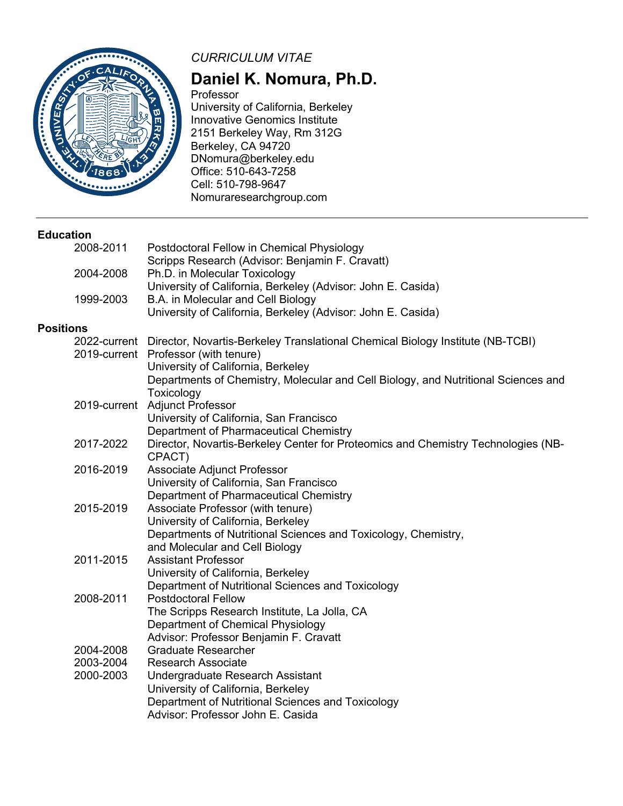

# *CURRICULUM VITAE*

# **Daniel K. Nomura, Ph.D.**

Professor University of California, Berkeley Innovative Genomics Institute 2151 Berkeley Way, Rm 312G Berkeley, CA 94720 DNomura@berkeley.edu Office: 510-643-7258 Cell: 510-798-9647 Nomuraresearchgroup.com

#### **Education**

|                  | Postdoctoral Fellow in Chemical Physiology                                                                        |
|------------------|-------------------------------------------------------------------------------------------------------------------|
|                  | Scripps Research (Advisor: Benjamin F. Cravatt)                                                                   |
|                  | Ph.D. in Molecular Toxicology                                                                                     |
|                  | University of California, Berkeley (Advisor: John E. Casida)                                                      |
|                  | B.A. in Molecular and Cell Biology                                                                                |
|                  | University of California, Berkeley (Advisor: John E. Casida)                                                      |
| <b>Positions</b> |                                                                                                                   |
|                  | 2022-current Director, Novartis-Berkeley Translational Chemical Biology Institute (NB-TCBI)                       |
|                  | 2019-current Professor (with tenure)                                                                              |
|                  | University of California, Berkeley                                                                                |
|                  | Departments of Chemistry, Molecular and Cell Biology, and Nutritional Sciences and                                |
|                  | Toxicology                                                                                                        |
|                  | 2019-current Adjunct Professor                                                                                    |
|                  | University of California, San Francisco                                                                           |
|                  | Department of Pharmaceutical Chemistry                                                                            |
| 2017-2022        | Director, Novartis-Berkeley Center for Proteomics and Chemistry Technologies (NB-                                 |
|                  | CPACT)                                                                                                            |
| 2016-2019        | Associate Adjunct Professor                                                                                       |
|                  | University of California, San Francisco                                                                           |
|                  | Department of Pharmaceutical Chemistry                                                                            |
|                  | Associate Professor (with tenure)                                                                                 |
|                  | University of California, Berkeley                                                                                |
|                  | Departments of Nutritional Sciences and Toxicology, Chemistry,                                                    |
|                  | and Molecular and Cell Biology                                                                                    |
|                  | <b>Assistant Professor</b>                                                                                        |
|                  | University of California, Berkeley                                                                                |
|                  | Department of Nutritional Sciences and Toxicology                                                                 |
|                  | <b>Postdoctoral Fellow</b>                                                                                        |
|                  | The Scripps Research Institute, La Jolla, CA                                                                      |
|                  | Department of Chemical Physiology                                                                                 |
|                  | Advisor: Professor Benjamin F. Cravatt                                                                            |
|                  | <b>Graduate Researcher</b>                                                                                        |
|                  | <b>Research Associate</b>                                                                                         |
|                  | Undergraduate Research Assistant                                                                                  |
|                  | University of California, Berkeley                                                                                |
|                  | Department of Nutritional Sciences and Toxicology                                                                 |
|                  | Advisor: Professor John E. Casida                                                                                 |
|                  | 2008-2011<br>2004-2008<br>1999-2003<br>2015-2019<br>2011-2015<br>2008-2011<br>2004-2008<br>2003-2004<br>2000-2003 |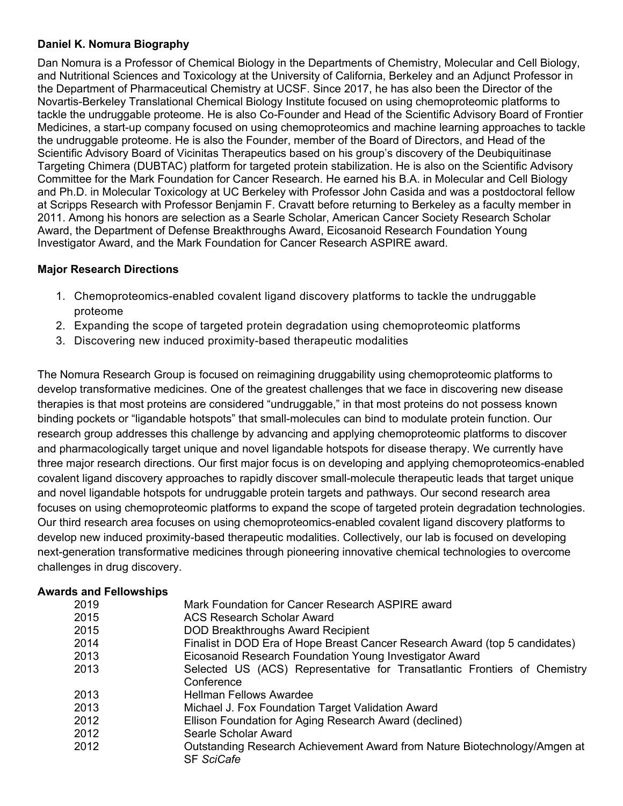## **Daniel K. Nomura Biography**

Dan Nomura is a Professor of Chemical Biology in the Departments of Chemistry, Molecular and Cell Biology, and Nutritional Sciences and Toxicology at the University of California, Berkeley and an Adjunct Professor in the Department of Pharmaceutical Chemistry at UCSF. Since 2017, he has also been the Director of the Novartis-Berkeley Translational Chemical Biology Institute focused on using chemoproteomic platforms to tackle the undruggable proteome. He is also Co-Founder and Head of the Scientific Advisory Board of Frontier Medicines, a start-up company focused on using chemoproteomics and machine learning approaches to tackle the undruggable proteome. He is also the Founder, member of the Board of Directors, and Head of the Scientific Advisory Board of Vicinitas Therapeutics based on his group's discovery of the Deubiquitinase Targeting Chimera (DUBTAC) platform for targeted protein stabilization. He is also on the Scientific Advisory Committee for the Mark Foundation for Cancer Research. He earned his B.A. in Molecular and Cell Biology and Ph.D. in Molecular Toxicology at UC Berkeley with Professor John Casida and was a postdoctoral fellow at Scripps Research with Professor Benjamin F. Cravatt before returning to Berkeley as a faculty member in 2011. Among his honors are selection as a Searle Scholar, American Cancer Society Research Scholar Award, the Department of Defense Breakthroughs Award, Eicosanoid Research Foundation Young Investigator Award, and the Mark Foundation for Cancer Research ASPIRE award.

## **Major Research Directions**

- 1. Chemoproteomics-enabled covalent ligand discovery platforms to tackle the undruggable proteome
- 2. Expanding the scope of targeted protein degradation using chemoproteomic platforms
- 3. Discovering new induced proximity-based therapeutic modalities

The Nomura Research Group is focused on reimagining druggability using chemoproteomic platforms to develop transformative medicines. One of the greatest challenges that we face in discovering new disease therapies is that most proteins are considered "undruggable," in that most proteins do not possess known binding pockets or "ligandable hotspots" that small-molecules can bind to modulate protein function. Our research group addresses this challenge by advancing and applying chemoproteomic platforms to discover and pharmacologically target unique and novel ligandable hotspots for disease therapy. We currently have three major research directions. Our first major focus is on developing and applying chemoproteomics-enabled covalent ligand discovery approaches to rapidly discover small-molecule therapeutic leads that target unique and novel ligandable hotspots for undruggable protein targets and pathways. Our second research area focuses on using chemoproteomic platforms to expand the scope of targeted protein degradation technologies. Our third research area focuses on using chemoproteomics-enabled covalent ligand discovery platforms to develop new induced proximity-based therapeutic modalities. Collectively, our lab is focused on developing next-generation transformative medicines through pioneering innovative chemical technologies to overcome challenges in drug discovery.

## **Awards and Fellowships**

| 2019 | Mark Foundation for Cancer Research ASPIRE award                            |
|------|-----------------------------------------------------------------------------|
| 2015 | ACS Research Scholar Award                                                  |
| 2015 | <b>DOD Breakthroughs Award Recipient</b>                                    |
| 2014 | Finalist in DOD Era of Hope Breast Cancer Research Award (top 5 candidates) |
| 2013 | Eicosanoid Research Foundation Young Investigator Award                     |
| 2013 | Selected US (ACS) Representative for Transatlantic Frontiers of Chemistry   |
|      | Conference                                                                  |
| 2013 | Hellman Fellows Awardee                                                     |
| 2013 | Michael J. Fox Foundation Target Validation Award                           |
| 2012 | Ellison Foundation for Aging Research Award (declined)                      |
| 2012 | Searle Scholar Award                                                        |
| 2012 | Outstanding Research Achievement Award from Nature Biotechnology/Amgen at   |
|      | <b>SF SciCafe</b>                                                           |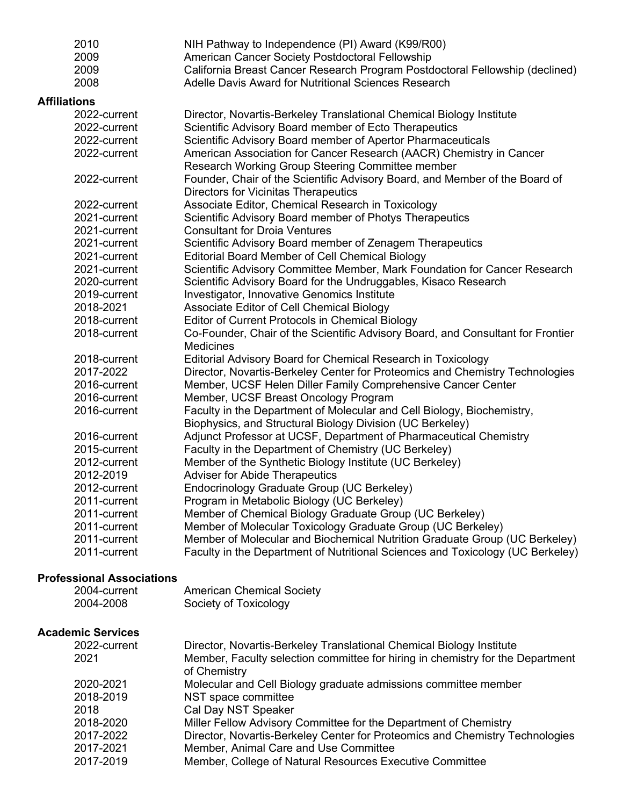|                     | 2010                                             | NIH Pathway to Independence (PI) Award (K99/R00)                                |
|---------------------|--------------------------------------------------|---------------------------------------------------------------------------------|
|                     | 2009                                             | American Cancer Society Postdoctoral Fellowship                                 |
|                     | 2009                                             | California Breast Cancer Research Program Postdoctoral Fellowship (declined)    |
|                     | 2008                                             | Adelle Davis Award for Nutritional Sciences Research                            |
| <b>Affiliations</b> |                                                  |                                                                                 |
|                     | 2022-current                                     | Director, Novartis-Berkeley Translational Chemical Biology Institute            |
|                     | 2022-current                                     | Scientific Advisory Board member of Ecto Therapeutics                           |
|                     | 2022-current                                     | Scientific Advisory Board member of Apertor Pharmaceuticals                     |
|                     | 2022-current                                     | American Association for Cancer Research (AACR) Chemistry in Cancer             |
|                     |                                                  | Research Working Group Steering Committee member                                |
|                     | 2022-current                                     | Founder, Chair of the Scientific Advisory Board, and Member of the Board of     |
|                     |                                                  | <b>Directors for Vicinitas Therapeutics</b>                                     |
|                     | 2022-current                                     | Associate Editor, Chemical Research in Toxicology                               |
|                     | 2021-current                                     | Scientific Advisory Board member of Photys Therapeutics                         |
|                     | 2021-current                                     | <b>Consultant for Droia Ventures</b>                                            |
|                     | 2021-current                                     | Scientific Advisory Board member of Zenagem Therapeutics                        |
|                     | 2021-current                                     | <b>Editorial Board Member of Cell Chemical Biology</b>                          |
|                     | 2021-current                                     | Scientific Advisory Committee Member, Mark Foundation for Cancer Research       |
|                     | 2020-current                                     | Scientific Advisory Board for the Undruggables, Kisaco Research                 |
|                     | 2019-current                                     | Investigator, Innovative Genomics Institute                                     |
|                     | 2018-2021                                        | Associate Editor of Cell Chemical Biology                                       |
|                     | 2018-current                                     | <b>Editor of Current Protocols in Chemical Biology</b>                          |
|                     | 2018-current                                     | Co-Founder, Chair of the Scientific Advisory Board, and Consultant for Frontier |
|                     |                                                  | <b>Medicines</b>                                                                |
|                     | 2018-current                                     | <b>Editorial Advisory Board for Chemical Research in Toxicology</b>             |
|                     | 2017-2022                                        | Director, Novartis-Berkeley Center for Proteomics and Chemistry Technologies    |
|                     | 2016-current                                     | Member, UCSF Helen Diller Family Comprehensive Cancer Center                    |
|                     | 2016-current                                     | Member, UCSF Breast Oncology Program                                            |
|                     | 2016-current                                     | Faculty in the Department of Molecular and Cell Biology, Biochemistry,          |
|                     |                                                  | Biophysics, and Structural Biology Division (UC Berkeley)                       |
|                     | 2016-current                                     | Adjunct Professor at UCSF, Department of Pharmaceutical Chemistry               |
|                     | 2015-current                                     | Faculty in the Department of Chemistry (UC Berkeley)                            |
|                     | 2012-current                                     | Member of the Synthetic Biology Institute (UC Berkeley)                         |
|                     | 2012-2019                                        | <b>Adviser for Abide Therapeutics</b>                                           |
|                     | 2012-current                                     | Endocrinology Graduate Group (UC Berkeley)                                      |
|                     | 2011-current                                     | Program in Metabolic Biology (UC Berkeley)                                      |
|                     | 2011-current                                     | Member of Chemical Biology Graduate Group (UC Berkeley)                         |
|                     | 2011-current                                     | Member of Molecular Toxicology Graduate Group (UC Berkeley)                     |
|                     | 2011-current                                     | Member of Molecular and Biochemical Nutrition Graduate Group (UC Berkeley)      |
|                     | 2011-current                                     | Faculty in the Department of Nutritional Sciences and Toxicology (UC Berkeley)  |
|                     |                                                  |                                                                                 |
|                     | <b>Professional Associations</b><br>2004-current | <b>American Chemical Society</b>                                                |
|                     | 2004-2008                                        | Society of Toxicology                                                           |
|                     |                                                  |                                                                                 |
|                     |                                                  |                                                                                 |

## **Academic Services**

| 2022-current | Director, Novartis-Berkeley Translational Chemical Biology Institute                           |
|--------------|------------------------------------------------------------------------------------------------|
| 2021         | Member, Faculty selection committee for hiring in chemistry for the Department<br>of Chemistry |
| 2020-2021    | Molecular and Cell Biology graduate admissions committee member                                |
| 2018-2019    | NST space committee                                                                            |
| 2018         | Cal Day NST Speaker                                                                            |
| 2018-2020    | Miller Fellow Advisory Committee for the Department of Chemistry                               |
| 2017-2022    | Director, Novartis-Berkeley Center for Proteomics and Chemistry Technologies                   |
| 2017-2021    | Member, Animal Care and Use Committee                                                          |
| 2017-2019    | Member, College of Natural Resources Executive Committee                                       |
|              |                                                                                                |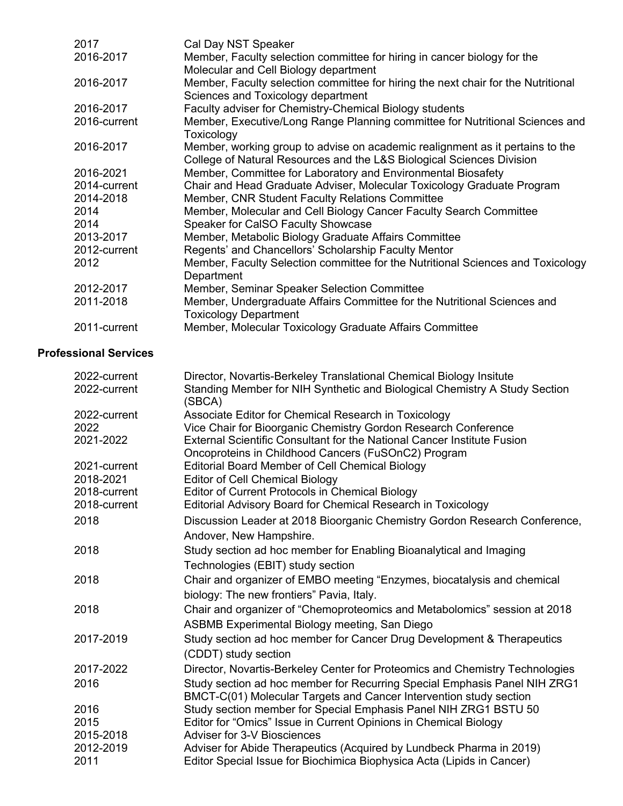| 2017         | Cal Day NST Speaker                                                               |
|--------------|-----------------------------------------------------------------------------------|
| 2016-2017    | Member, Faculty selection committee for hiring in cancer biology for the          |
|              | Molecular and Cell Biology department                                             |
| 2016-2017    | Member, Faculty selection committee for hiring the next chair for the Nutritional |
|              | Sciences and Toxicology department                                                |
| 2016-2017    | Faculty adviser for Chemistry-Chemical Biology students                           |
| 2016-current | Member, Executive/Long Range Planning committee for Nutritional Sciences and      |
|              | Toxicology                                                                        |
| 2016-2017    | Member, working group to advise on academic realignment as it pertains to the     |
|              | College of Natural Resources and the L&S Biological Sciences Division             |
| 2016-2021    | Member, Committee for Laboratory and Environmental Biosafety                      |
| 2014-current | Chair and Head Graduate Adviser, Molecular Toxicology Graduate Program            |
| 2014-2018    | Member, CNR Student Faculty Relations Committee                                   |
| 2014         | Member, Molecular and Cell Biology Cancer Faculty Search Committee                |
| 2014         | Speaker for CaISO Faculty Showcase                                                |
| 2013-2017    | Member, Metabolic Biology Graduate Affairs Committee                              |
| 2012-current | Regents' and Chancellors' Scholarship Faculty Mentor                              |
| 2012         | Member, Faculty Selection committee for the Nutritional Sciences and Toxicology   |
|              | Department                                                                        |
| 2012-2017    | Member, Seminar Speaker Selection Committee                                       |
| 2011-2018    | Member, Undergraduate Affairs Committee for the Nutritional Sciences and          |
|              | <b>Toxicology Department</b>                                                      |
| 2011-current | Member, Molecular Toxicology Graduate Affairs Committee                           |

## **Professional Services**

| 2022-current | Director, Novartis-Berkeley Translational Chemical Biology Insitute                  |
|--------------|--------------------------------------------------------------------------------------|
| 2022-current | Standing Member for NIH Synthetic and Biological Chemistry A Study Section<br>(SBCA) |
| 2022-current | Associate Editor for Chemical Research in Toxicology                                 |
| 2022         | Vice Chair for Bioorganic Chemistry Gordon Research Conference                       |
| 2021-2022    | External Scientific Consultant for the National Cancer Institute Fusion              |
|              | Oncoproteins in Childhood Cancers (FuSOnC2) Program                                  |
| 2021-current | <b>Editorial Board Member of Cell Chemical Biology</b>                               |
| 2018-2021    | <b>Editor of Cell Chemical Biology</b>                                               |
| 2018-current | Editor of Current Protocols in Chemical Biology                                      |
| 2018-current | Editorial Advisory Board for Chemical Research in Toxicology                         |
| 2018         | Discussion Leader at 2018 Bioorganic Chemistry Gordon Research Conference,           |
|              | Andover, New Hampshire.                                                              |
| 2018         | Study section ad hoc member for Enabling Bioanalytical and Imaging                   |
|              | Technologies (EBIT) study section                                                    |
| 2018         | Chair and organizer of EMBO meeting "Enzymes, biocatalysis and chemical              |
|              | biology: The new frontiers" Pavia, Italy.                                            |
| 2018         | Chair and organizer of "Chemoproteomics and Metabolomics" session at 2018            |
|              | ASBMB Experimental Biology meeting, San Diego                                        |
| 2017-2019    | Study section ad hoc member for Cancer Drug Development & Therapeutics               |
|              | (CDDT) study section                                                                 |
| 2017-2022    | Director, Novartis-Berkeley Center for Proteomics and Chemistry Technologies         |
| 2016         | Study section ad hoc member for Recurring Special Emphasis Panel NIH ZRG1            |
|              | BMCT-C(01) Molecular Targets and Cancer Intervention study section                   |
| 2016         | Study section member for Special Emphasis Panel NIH ZRG1 BSTU 50                     |
| 2015         | Editor for "Omics" Issue in Current Opinions in Chemical Biology                     |
| 2015-2018    | Adviser for 3-V Biosciences                                                          |
| 2012-2019    | Adviser for Abide Therapeutics (Acquired by Lundbeck Pharma in 2019)                 |
| 2011         | Editor Special Issue for Biochimica Biophysica Acta (Lipids in Cancer)               |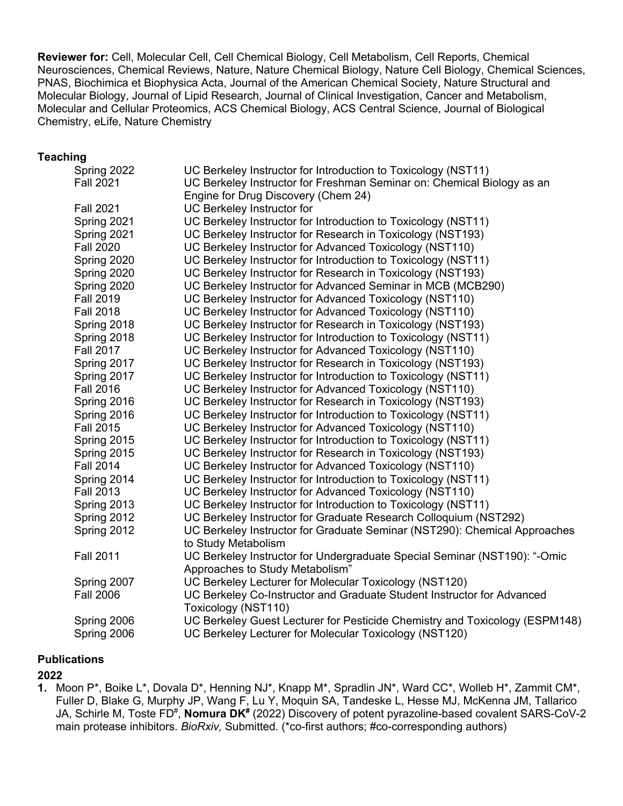**Reviewer for:** Cell, Molecular Cell, Cell Chemical Biology, Cell Metabolism, Cell Reports, Chemical Neurosciences, Chemical Reviews, Nature, Nature Chemical Biology, Nature Cell Biology, Chemical Sciences, PNAS, Biochimica et Biophysica Acta, Journal of the American Chemical Society, Nature Structural and Molecular Biology, Journal of Lipid Research, Journal of Clinical Investigation, Cancer and Metabolism, Molecular and Cellular Proteomics, ACS Chemical Biology, ACS Central Science, Journal of Biological Chemistry, eLife, Nature Chemistry

#### **Teaching**

| UC Berkeley Instructor for Introduction to Toxicology (NST11)               |
|-----------------------------------------------------------------------------|
| UC Berkeley Instructor for Freshman Seminar on: Chemical Biology as an      |
| Engine for Drug Discovery (Chem 24)                                         |
| UC Berkeley Instructor for                                                  |
| UC Berkeley Instructor for Introduction to Toxicology (NST11)               |
| UC Berkeley Instructor for Research in Toxicology (NST193)                  |
| UC Berkeley Instructor for Advanced Toxicology (NST110)                     |
| UC Berkeley Instructor for Introduction to Toxicology (NST11)               |
| UC Berkeley Instructor for Research in Toxicology (NST193)                  |
| UC Berkeley Instructor for Advanced Seminar in MCB (MCB290)                 |
| UC Berkeley Instructor for Advanced Toxicology (NST110)                     |
| UC Berkeley Instructor for Advanced Toxicology (NST110)                     |
| UC Berkeley Instructor for Research in Toxicology (NST193)                  |
| UC Berkeley Instructor for Introduction to Toxicology (NST11)               |
| UC Berkeley Instructor for Advanced Toxicology (NST110)                     |
| UC Berkeley Instructor for Research in Toxicology (NST193)                  |
| UC Berkeley Instructor for Introduction to Toxicology (NST11)               |
| UC Berkeley Instructor for Advanced Toxicology (NST110)                     |
| UC Berkeley Instructor for Research in Toxicology (NST193)                  |
| UC Berkeley Instructor for Introduction to Toxicology (NST11)               |
| UC Berkeley Instructor for Advanced Toxicology (NST110)                     |
| UC Berkeley Instructor for Introduction to Toxicology (NST11)               |
| UC Berkeley Instructor for Research in Toxicology (NST193)                  |
| UC Berkeley Instructor for Advanced Toxicology (NST110)                     |
| UC Berkeley Instructor for Introduction to Toxicology (NST11)               |
| UC Berkeley Instructor for Advanced Toxicology (NST110)                     |
| UC Berkeley Instructor for Introduction to Toxicology (NST11)               |
| UC Berkeley Instructor for Graduate Research Colloquium (NST292)            |
| UC Berkeley Instructor for Graduate Seminar (NST290): Chemical Approaches   |
| to Study Metabolism                                                         |
| UC Berkeley Instructor for Undergraduate Special Seminar (NST190): "-Omic   |
| Approaches to Study Metabolism"                                             |
| UC Berkeley Lecturer for Molecular Toxicology (NST120)                      |
| UC Berkeley Co-Instructor and Graduate Student Instructor for Advanced      |
| Toxicology (NST110)                                                         |
| UC Berkeley Guest Lecturer for Pesticide Chemistry and Toxicology (ESPM148) |
| UC Berkeley Lecturer for Molecular Toxicology (NST120)                      |
|                                                                             |

#### **Publications**

#### **2022**

**1.** Moon P\*, Boike L\*, Dovala D\*, Henning NJ\*, Knapp M\*, Spradlin JN\*, Ward CC\*, Wolleb H\*, Zammit CM\*, Fuller D, Blake G, Murphy JP, Wang F, Lu Y, Moquin SA, Tandeske L, Hesse MJ, McKenna JM, Tallarico JA, Schirle M, Toste FD<sup>#</sup>, **Nomura DK<sup>#</sup>** (2022) Discovery of potent pyrazoline-based covalent SARS-CoV-2 main protease inhibitors. *BioRxiv,* Submitted*.* (\*co-first authors; #co-corresponding authors)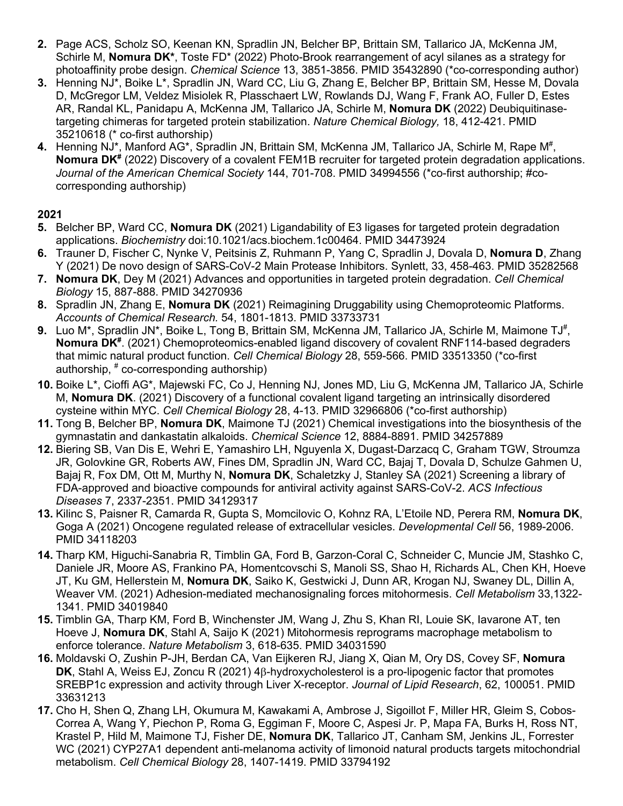- **2.** Page ACS, Scholz SO, Keenan KN, Spradlin JN, Belcher BP, Brittain SM, Tallarico JA, McKenna JM, Schirle M, **Nomura DK\***, Toste FD\* (2022) Photo-Brook rearrangement of acyl silanes as a strategy for photoaffinity probe design. *Chemical Science* 13, 3851-3856. PMID 35432890 (\*co-corresponding author)
- **3.** Henning NJ\*, Boike L\*, Spradlin JN, Ward CC, Liu G, Zhang E, Belcher BP, Brittain SM, Hesse M, Dovala D, McGregor LM, Veldez Misiolek R, Plasschaert LW, Rowlands DJ, Wang F, Frank AO, Fuller D, Estes AR, Randal KL, Panidapu A, McKenna JM, Tallarico JA, Schirle M, **Nomura DK** (2022) Deubiquitinasetargeting chimeras for targeted protein stabilization. *Nature Chemical Biology,* 18, 412-421. PMID 35210618 (\* co-first authorship)
- 4. Henning NJ\*, Manford AG\*, Spradlin JN, Brittain SM, McKenna JM, Tallarico JA, Schirle M, Rape M<sup>#</sup>, **Nomura DK<sup>#</sup>** (2022) Discovery of a covalent FEM1B recruiter for targeted protein degradation applications. *Journal of the American Chemical Society* 144, 701-708. PMID 34994556 (\*co-first authorship; #cocorresponding authorship)

- **5.** Belcher BP, Ward CC, **Nomura DK** (2021) Ligandability of E3 ligases for targeted protein degradation applications. *Biochemistry* doi:10.1021/acs.biochem.1c00464. PMID 34473924
- **6.** Trauner D, Fischer C, Nynke V, Peitsinis Z, Ruhmann P, Yang C, Spradlin J, Dovala D, **Nomura D**, Zhang Y (2021) De novo design of SARS-CoV-2 Main Protease Inhibitors. Synlett, 33, 458-463. PMID 35282568
- **7. Nomura DK**, Dey M (2021) Advances and opportunities in targeted protein degradation. *Cell Chemical Biology* 15, 887-888. PMID 34270936
- **8.** Spradlin JN, Zhang E, **Nomura DK** (2021) Reimagining Druggability using Chemoproteomic Platforms. *Accounts of Chemical Research.* 54, 1801-1813. PMID 33733731
- 9. Luo M<sup>\*</sup>, Spradlin JN<sup>\*</sup>, Boike L, Tong B, Brittain SM, McKenna JM, Tallarico JA, Schirle M, Maimone TJ<sup>#</sup>, Nomura DK<sup>#</sup>. (2021) Chemoproteomics-enabled ligand discovery of covalent RNF114-based degraders that mimic natural product function. *Cell Chemical Biology* 28, 559-566. PMID 33513350 (\*co-first authorship, # co-corresponding authorship)
- **10.** Boike L\*, Cioffi AG\*, Majewski FC, Co J, Henning NJ, Jones MD, Liu G, McKenna JM, Tallarico JA, Schirle M, **Nomura DK**. (2021) Discovery of a functional covalent ligand targeting an intrinsically disordered cysteine within MYC. *Cell Chemical Biology* 28, 4-13. PMID 32966806 (\*co-first authorship)
- **11.** Tong B, Belcher BP, **Nomura DK**, Maimone TJ (2021) Chemical investigations into the biosynthesis of the gymnastatin and dankastatin alkaloids. *Chemical Science* 12, 8884-8891. PMID 34257889
- **12.** Biering SB, Van Dis E, Wehri E, Yamashiro LH, Nguyenla X, Dugast-Darzacq C, Graham TGW, Stroumza JR, Golovkine GR, Roberts AW, Fines DM, Spradlin JN, Ward CC, Bajaj T, Dovala D, Schulze Gahmen U, Bajaj R, Fox DM, Ott M, Murthy N, **Nomura DK**, Schaletzky J, Stanley SA (2021) Screening a library of FDA-approved and bioactive compounds for antiviral activity against SARS-CoV-2. *ACS Infectious Diseases* 7, 2337-2351. PMID 34129317
- **13.** Kilinc S, Paisner R, Camarda R, Gupta S, Momcilovic O, Kohnz RA, L'Etoile ND, Perera RM, **Nomura DK**, Goga A (2021) Oncogene regulated release of extracellular vesicles. *Developmental Cell* 56, 1989-2006. PMID 34118203
- **14.** Tharp KM, Higuchi-Sanabria R, Timblin GA, Ford B, Garzon-Coral C, Schneider C, Muncie JM, Stashko C, Daniele JR, Moore AS, Frankino PA, Homentcovschi S, Manoli SS, Shao H, Richards AL, Chen KH, Hoeve JT, Ku GM, Hellerstein M, **Nomura DK**, Saiko K, Gestwicki J, Dunn AR, Krogan NJ, Swaney DL, Dillin A, Weaver VM. (2021) Adhesion-mediated mechanosignaling forces mitohormesis. *Cell Metabolism* 33,1322- 1341. PMID 34019840
- **15.** Timblin GA, Tharp KM, Ford B, Winchenster JM, Wang J, Zhu S, Khan RI, Louie SK, Iavarone AT, ten Hoeve J, **Nomura DK**, Stahl A, Saijo K (2021) Mitohormesis reprograms macrophage metabolism to enforce tolerance. *Nature Metabolism* 3, 618-635. PMID 34031590
- **16.** Moldavski O, Zushin P-JH, Berdan CA, Van Eijkeren RJ, Jiang X, Qian M, Ory DS, Covey SF, **Nomura DK**, Stahl A, Weiss EJ, Zoncu R (2021) 4B-hydroxycholesterol is a pro-lipogenic factor that promotes SREBP1c expression and activity through Liver X-receptor. *Journal of Lipid Research*, 62, 100051. PMID 33631213
- **17.** Cho H, Shen Q, Zhang LH, Okumura M, Kawakami A, Ambrose J, Sigoillot F, Miller HR, Gleim S, Cobos-Correa A, Wang Y, Piechon P, Roma G, Eggiman F, Moore C, Aspesi Jr. P, Mapa FA, Burks H, Ross NT, Krastel P, Hild M, Maimone TJ, Fisher DE, **Nomura DK**, Tallarico JT, Canham SM, Jenkins JL, Forrester WC (2021) CYP27A1 dependent anti-melanoma activity of limonoid natural products targets mitochondrial metabolism. *Cell Chemical Biology* 28, 1407-1419. PMID 33794192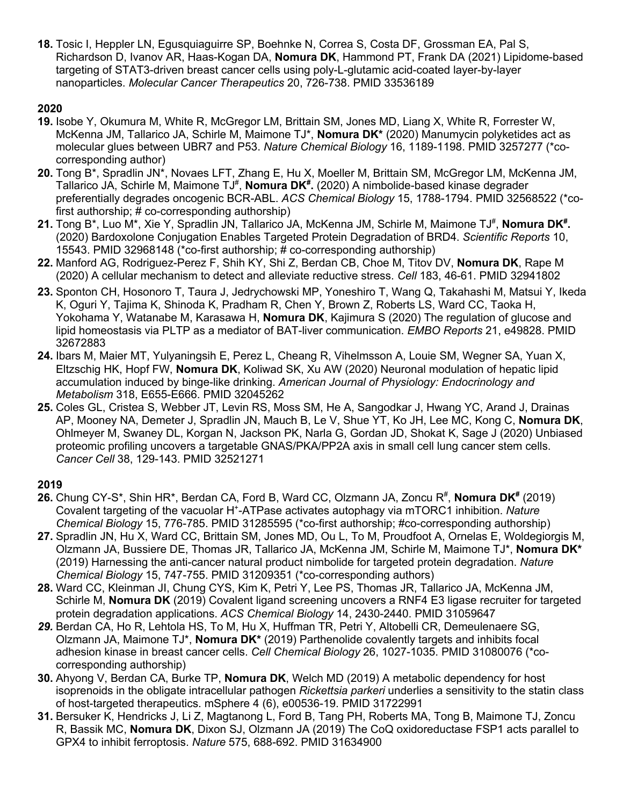**18.** Tosic I, Heppler LN, Egusquiaguirre SP, Boehnke N, Correa S, Costa DF, Grossman EA, Pal S, Richardson D, Ivanov AR, Haas-Kogan DA, **Nomura DK**, Hammond PT, Frank DA (2021) Lipidome-based targeting of STAT3-driven breast cancer cells using poly-L-glutamic acid-coated layer-by-layer nanoparticles. *Molecular Cancer Therapeutics* 20, 726-738. PMID 33536189

## **2020**

- **19.** Isobe Y, Okumura M, White R, McGregor LM, Brittain SM, Jones MD, Liang X, White R, Forrester W, McKenna JM, Tallarico JA, Schirle M, Maimone TJ\*, **Nomura DK\*** (2020) Manumycin polyketides act as molecular glues between UBR7 and P53. *Nature Chemical Biology* 16, 1189-1198. PMID 3257277 (\*cocorresponding author)
- **20.** Tong B\*, Spradlin JN\*, Novaes LFT, Zhang E, Hu X, Moeller M, Brittain SM, McGregor LM, McKenna JM, Tallarico JA, Schirle M, Maimone TJ<sup>#</sup>, **Nomura DK<sup>#</sup>.** (2020) A nimbolide-based kinase degrader preferentially degrades oncogenic BCR-ABL. *ACS Chemical Biology* 15, 1788-1794. PMID 32568522 (\*cofirst authorship; # co-corresponding authorship)
- 21. Tong B\*, Luo M\*, Xie Y, Spradlin JN, Tallarico JA, McKenna JM, Schirle M, Maimone TJ<sup>#</sup>, **Nomura DK<sup>#</sup>.** (2020) Bardoxolone Conjugation Enables Targeted Protein Degradation of BRD4. *Scientific Reports* 10, 15543. PMID 32968148 (\*co-first authorship; # co-corresponding authorship)
- **22.** Manford AG, Rodriguez-Perez F, Shih KY, Shi Z, Berdan CB, Choe M, Titov DV, **Nomura DK**, Rape M (2020) A cellular mechanism to detect and alleviate reductive stress. *Cell* 183, 46-61. PMID 32941802
- **23.** Sponton CH, Hosonoro T, Taura J, Jedrychowski MP, Yoneshiro T, Wang Q, Takahashi M, Matsui Y, Ikeda K, Oguri Y, Tajima K, Shinoda K, Pradham R, Chen Y, Brown Z, Roberts LS, Ward CC, Taoka H, Yokohama Y, Watanabe M, Karasawa H, **Nomura DK**, Kajimura S (2020) The regulation of glucose and lipid homeostasis via PLTP as a mediator of BAT-liver communication. *EMBO Reports* 21, e49828. PMID 32672883
- **24.** Ibars M, Maier MT, Yulyaningsih E, Perez L, Cheang R, Vihelmsson A, Louie SM, Wegner SA, Yuan X, Eltzschig HK, Hopf FW, **Nomura DK**, Koliwad SK, Xu AW (2020) Neuronal modulation of hepatic lipid accumulation induced by binge-like drinking. *American Journal of Physiology: Endocrinology and Metabolism* 318, E655-E666. PMID 32045262
- **25.** Coles GL, Cristea S, Webber JT, Levin RS, Moss SM, He A, Sangodkar J, Hwang YC, Arand J, Drainas AP, Mooney NA, Demeter J, Spradlin JN, Mauch B, Le V, Shue YT, Ko JH, Lee MC, Kong C, **Nomura DK**, Ohlmeyer M, Swaney DL, Korgan N, Jackson PK, Narla G, Gordan JD, Shokat K, Sage J (2020) Unbiased proteomic profiling uncovers a targetable GNAS/PKA/PP2A axis in small cell lung cancer stem cells. *Cancer Cell* 38, 129-143. PMID 32521271

- 26. Chung CY-S\*, Shin HR\*, Berdan CA, Ford B, Ward CC, Olzmann JA, Zoncu R<sup>#</sup>, Nomura DK<sup>#</sup> (2019) Covalent targeting of the vacuolar H+ -ATPase activates autophagy via mTORC1 inhibition. *Nature Chemical Biology* 15, 776-785. PMID 31285595 (\*co-first authorship; #co-corresponding authorship)
- **27.** Spradlin JN, Hu X, Ward CC, Brittain SM, Jones MD, Ou L, To M, Proudfoot A, Ornelas E, Woldegiorgis M, Olzmann JA, Bussiere DE, Thomas JR, Tallarico JA, McKenna JM, Schirle M, Maimone TJ\*, **Nomura DK\***  (2019) Harnessing the anti-cancer natural product nimbolide for targeted protein degradation. *Nature Chemical Biology* 15, 747-755. PMID 31209351 (\*co-corresponding authors)
- **28.** Ward CC, Kleinman JI, Chung CYS, Kim K, Petri Y, Lee PS, Thomas JR, Tallarico JA, McKenna JM, Schirle M, **Nomura DK** (2019) Covalent ligand screening uncovers a RNF4 E3 ligase recruiter for targeted protein degradation applications. *ACS Chemical Biology* 14, 2430-2440. PMID 31059647
- *29.* Berdan CA, Ho R, Lehtola HS, To M, Hu X, Huffman TR, Petri Y, Altobelli CR, Demeulenaere SG, Olzmann JA, Maimone TJ\*, **Nomura DK\*** (2019) Parthenolide covalently targets and inhibits focal adhesion kinase in breast cancer cells. *Cell Chemical Biology* 26, 1027-1035. PMID 31080076 (\*cocorresponding authorship)
- **30.** Ahyong V, Berdan CA, Burke TP, **Nomura DK**, Welch MD (2019) A metabolic dependency for host isoprenoids in the obligate intracellular pathogen *Rickettsia parkeri* underlies a sensitivity to the statin class of host-targeted therapeutics. mSphere 4 (6), e00536-19. PMID 31722991
- **31.** Bersuker K, Hendricks J, Li Z, Magtanong L, Ford B, Tang PH, Roberts MA, Tong B, Maimone TJ, Zoncu R, Bassik MC, **Nomura DK**, Dixon SJ, Olzmann JA (2019) The CoQ oxidoreductase FSP1 acts parallel to GPX4 to inhibit ferroptosis. *Nature* 575, 688-692. PMID 31634900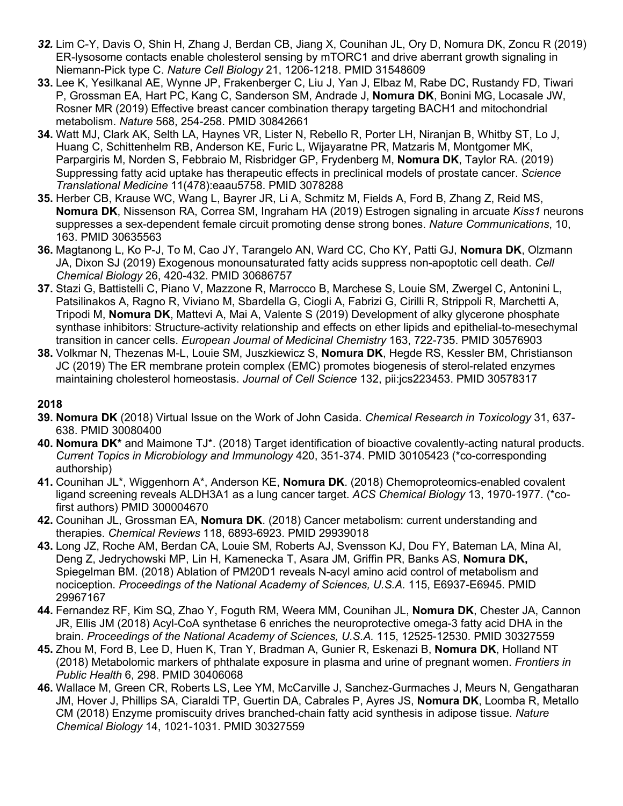- *32.* Lim C-Y, Davis O, Shin H, Zhang J, Berdan CB, Jiang X, Counihan JL, Ory D, Nomura DK, Zoncu R (2019) ER-lysosome contacts enable cholesterol sensing by mTORC1 and drive aberrant growth signaling in Niemann-Pick type C. *Nature Cell Biology* 21, 1206-1218. PMID 31548609
- **33.** Lee K, Yesilkanal AE, Wynne JP, Frakenberger C, Liu J, Yan J, Elbaz M, Rabe DC, Rustandy FD, Tiwari P, Grossman EA, Hart PC, Kang C, Sanderson SM, Andrade J, **Nomura DK**, Bonini MG, Locasale JW, Rosner MR (2019) Effective breast cancer combination therapy targeting BACH1 and mitochondrial metabolism. *Nature* 568, 254-258. PMID 30842661
- **34.** Watt MJ, Clark AK, Selth LA, Haynes VR, Lister N, Rebello R, Porter LH, Niranjan B, Whitby ST, Lo J, Huang C, Schittenhelm RB, Anderson KE, Furic L, Wijayaratne PR, Matzaris M, Montgomer MK, Parpargiris M, Norden S, Febbraio M, Risbridger GP, Frydenberg M, **Nomura DK**, Taylor RA. (2019) Suppressing fatty acid uptake has therapeutic effects in preclinical models of prostate cancer. *Science Translational Medicine* 11(478):eaau5758. PMID 3078288
- **35.** Herber CB, Krause WC, Wang L, Bayrer JR, Li A, Schmitz M, Fields A, Ford B, Zhang Z, Reid MS, **Nomura DK**, Nissenson RA, Correa SM, Ingraham HA (2019) Estrogen signaling in arcuate *Kiss1* neurons suppresses a sex-dependent female circuit promoting dense strong bones. *Nature Communications*, 10, 163. PMID 30635563
- **36.** Magtanong L, Ko P-J, To M, Cao JY, Tarangelo AN, Ward CC, Cho KY, Patti GJ, **Nomura DK**, Olzmann JA, Dixon SJ (2019) Exogenous monounsaturated fatty acids suppress non-apoptotic cell death. *Cell Chemical Biology* 26, 420-432. PMID 30686757
- **37.** Stazi G, Battistelli C, Piano V, Mazzone R, Marrocco B, Marchese S, Louie SM, Zwergel C, Antonini L, Patsilinakos A, Ragno R, Viviano M, Sbardella G, Ciogli A, Fabrizi G, Cirilli R, Strippoli R, Marchetti A, Tripodi M, **Nomura DK**, Mattevi A, Mai A, Valente S (2019) Development of alky glycerone phosphate synthase inhibitors: Structure-activity relationship and effects on ether lipids and epithelial-to-mesechymal transition in cancer cells. *European Journal of Medicinal Chemistry* 163, 722-735. PMID 30576903
- **38.** Volkmar N, Thezenas M-L, Louie SM, Juszkiewicz S, **Nomura DK**, Hegde RS, Kessler BM, Christianson JC (2019) The ER membrane protein complex (EMC) promotes biogenesis of sterol-related enzymes maintaining cholesterol homeostasis. *Journal of Cell Science* 132, pii:jcs223453. PMID 30578317

- **39. Nomura DK** (2018) Virtual Issue on the Work of John Casida. *Chemical Research in Toxicology* 31, 637- 638. PMID 30080400
- **40. Nomura DK\*** and Maimone TJ\*. (2018) Target identification of bioactive covalently-acting natural products. *Current Topics in Microbiology and Immunology* 420, 351-374. PMID 30105423 (\*co-corresponding authorship)
- **41.** Counihan JL\*, Wiggenhorn A\*, Anderson KE, **Nomura DK**. (2018) Chemoproteomics-enabled covalent ligand screening reveals ALDH3A1 as a lung cancer target. *ACS Chemical Biology* 13, 1970-1977. (\*cofirst authors) PMID 300004670
- **42.** Counihan JL, Grossman EA, **Nomura DK**. (2018) Cancer metabolism: current understanding and therapies. *Chemical Reviews* 118, 6893-6923. PMID 29939018
- **43.** Long JZ, Roche AM, Berdan CA, Louie SM, Roberts AJ, Svensson KJ, Dou FY, Bateman LA, Mina AI, Deng Z, Jedrychowski MP, Lin H, Kamenecka T, Asara JM, Griffin PR, Banks AS, **Nomura DK,**  Spiegelman BM. (2018) Ablation of PM20D1 reveals N-acyl amino acid control of metabolism and nociception. *Proceedings of the National Academy of Sciences, U.S.A.* 115, E6937-E6945. PMID 29967167
- **44.** Fernandez RF, Kim SQ, Zhao Y, Foguth RM, Weera MM, Counihan JL, **Nomura DK**, Chester JA, Cannon JR, Ellis JM (2018) Acyl-CoA synthetase 6 enriches the neuroprotective omega-3 fatty acid DHA in the brain. *Proceedings of the National Academy of Sciences, U.S.A.* 115, 12525-12530. PMID 30327559
- **45.** Zhou M, Ford B, Lee D, Huen K, Tran Y, Bradman A, Gunier R, Eskenazi B, **Nomura DK**, Holland NT (2018) Metabolomic markers of phthalate exposure in plasma and urine of pregnant women. *Frontiers in Public Health* 6, 298. PMID 30406068
- **46.** Wallace M, Green CR, Roberts LS, Lee YM, McCarville J, Sanchez-Gurmaches J, Meurs N, Gengatharan JM, Hover J, Phillips SA, Ciaraldi TP, Guertin DA, Cabrales P, Ayres JS, **Nomura DK**, Loomba R, Metallo CM (2018) Enzyme promiscuity drives branched-chain fatty acid synthesis in adipose tissue. *Nature Chemical Biology* 14, 1021-1031. PMID 30327559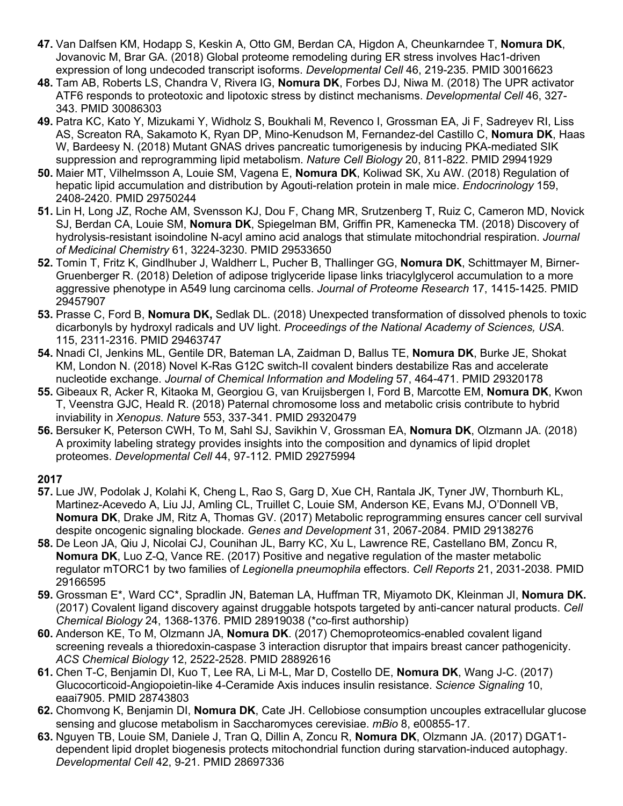- **47.** Van Dalfsen KM, Hodapp S, Keskin A, Otto GM, Berdan CA, Higdon A, Cheunkarndee T, **Nomura DK**, Jovanovic M, Brar GA. (2018) Global proteome remodeling during ER stress involves Hac1-driven expression of long undecoded transcript isoforms. *Developmental Cell* 46, 219-235. PMID 30016623
- **48.** Tam AB, Roberts LS, Chandra V, Rivera IG, **Nomura DK**, Forbes DJ, Niwa M. (2018) The UPR activator ATF6 responds to proteotoxic and lipotoxic stress by distinct mechanisms. *Developmental Cell* 46, 327- 343. PMID 30086303
- **49.** Patra KC, Kato Y, Mizukami Y, Widholz S, Boukhali M, Revenco I, Grossman EA, Ji F, Sadreyev RI, Liss AS, Screaton RA, Sakamoto K, Ryan DP, Mino-Kenudson M, Fernandez-del Castillo C, **Nomura DK**, Haas W, Bardeesy N. (2018) Mutant GNAS drives pancreatic tumorigenesis by inducing PKA-mediated SIK suppression and reprogramming lipid metabolism. *Nature Cell Biology* 20, 811-822. PMID 29941929
- **50.** Maier MT, Vilhelmsson A, Louie SM, Vagena E, **Nomura DK**, Koliwad SK, Xu AW. (2018) Regulation of hepatic lipid accumulation and distribution by Agouti-relation protein in male mice. *Endocrinology* 159, 2408-2420. PMID 29750244
- **51.** Lin H, Long JZ, Roche AM, Svensson KJ, Dou F, Chang MR, Srutzenberg T, Ruiz C, Cameron MD, Novick SJ, Berdan CA, Louie SM, **Nomura DK**, Spiegelman BM, Griffin PR, Kamenecka TM. (2018) Discovery of hydrolysis-resistant isoindoline N-acyl amino acid analogs that stimulate mitochondrial respiration. *Journal of Medicinal Chemistry* 61, 3224-3230. PMID 29533650
- **52.** Tomin T, Fritz K, Gindlhuber J, Waldherr L, Pucher B, Thallinger GG, **Nomura DK**, Schittmayer M, Birner-Gruenberger R. (2018) Deletion of adipose triglyceride lipase links triacylglycerol accumulation to a more aggressive phenotype in A549 lung carcinoma cells. *Journal of Proteome Research* 17, 1415-1425. PMID 29457907
- **53.** Prasse C, Ford B, **Nomura DK,** Sedlak DL. (2018) Unexpected transformation of dissolved phenols to toxic dicarbonyls by hydroxyl radicals and UV light. *Proceedings of the National Academy of Sciences, USA.* 115, 2311-2316. PMID 29463747
- **54.** Nnadi CI, Jenkins ML, Gentile DR, Bateman LA, Zaidman D, Ballus TE, **Nomura DK**, Burke JE, Shokat KM, London N. (2018) Novel K-Ras G12C switch-II covalent binders destabilize Ras and accelerate nucleotide exchange. *Journal of Chemical Information and Modeling* 57, 464-471. PMID 29320178
- **55.** Gibeaux R, Acker R, Kitaoka M, Georgiou G, van Kruijsbergen I, Ford B, Marcotte EM, **Nomura DK**, Kwon T, Veenstra GJC, Heald R. (2018) Paternal chromosome loss and metabolic crisis contribute to hybrid inviability in *Xenopus*. *Nature* 553, 337-341. PMID 29320479
- **56.** Bersuker K, Peterson CWH, To M, Sahl SJ, Savikhin V, Grossman EA, **Nomura DK**, Olzmann JA. (2018) A proximity labeling strategy provides insights into the composition and dynamics of lipid droplet proteomes. *Developmental Cell* 44, 97-112. PMID 29275994

- **57.** Lue JW, Podolak J, Kolahi K, Cheng L, Rao S, Garg D, Xue CH, Rantala JK, Tyner JW, Thornburh KL, Martinez-Acevedo A, Liu JJ, Amling CL, Truillet C, Louie SM, Anderson KE, Evans MJ, O'Donnell VB, **Nomura DK**, Drake JM, Ritz A, Thomas GV. (2017) Metabolic reprogramming ensures cancer cell survival despite oncogenic signaling blockade. *Genes and Development* 31, 2067-2084. PMID 29138276
- **58.** De Leon JA, Qiu J, Nicolai CJ, Counihan JL, Barry KC, Xu L, Lawrence RE, Castellano BM, Zoncu R, **Nomura DK**, Luo Z-Q, Vance RE. (2017) Positive and negative regulation of the master metabolic regulator mTORC1 by two families of *Legionella pneumophila* effectors. *Cell Reports* 21, 2031-2038*.* PMID 29166595
- **59.** Grossman E\*, Ward CC\*, Spradlin JN, Bateman LA, Huffman TR, Miyamoto DK, Kleinman JI, **Nomura DK.**  (2017) Covalent ligand discovery against druggable hotspots targeted by anti-cancer natural products. *Cell Chemical Biology* 24, 1368-1376. PMID 28919038 (\*co-first authorship)
- **60.** Anderson KE, To M, Olzmann JA, **Nomura DK**. (2017) Chemoproteomics-enabled covalent ligand screening reveals a thioredoxin-caspase 3 interaction disruptor that impairs breast cancer pathogenicity. *ACS Chemical Biology* 12, 2522-2528. PMID 28892616
- **61.** Chen T-C, Benjamin DI, Kuo T, Lee RA, Li M-L, Mar D, Costello DE, **Nomura DK**, Wang J-C. (2017) Glucocorticoid-Angiopoietin-like 4-Ceramide Axis induces insulin resistance. *Science Signaling* 10, eaai7905. PMID 28743803
- **62.** Chomvong K, Benjamin DI, **Nomura DK**, Cate JH. Cellobiose consumption uncouples extracellular glucose sensing and glucose metabolism in Saccharomyces cerevisiae. *mBio* 8, e00855-17.
- **63.** Nguyen TB, Louie SM, Daniele J, Tran Q, Dillin A, Zoncu R, **Nomura DK**, Olzmann JA. (2017) DGAT1 dependent lipid droplet biogenesis protects mitochondrial function during starvation-induced autophagy. *Developmental Cell* 42, 9-21. PMID 28697336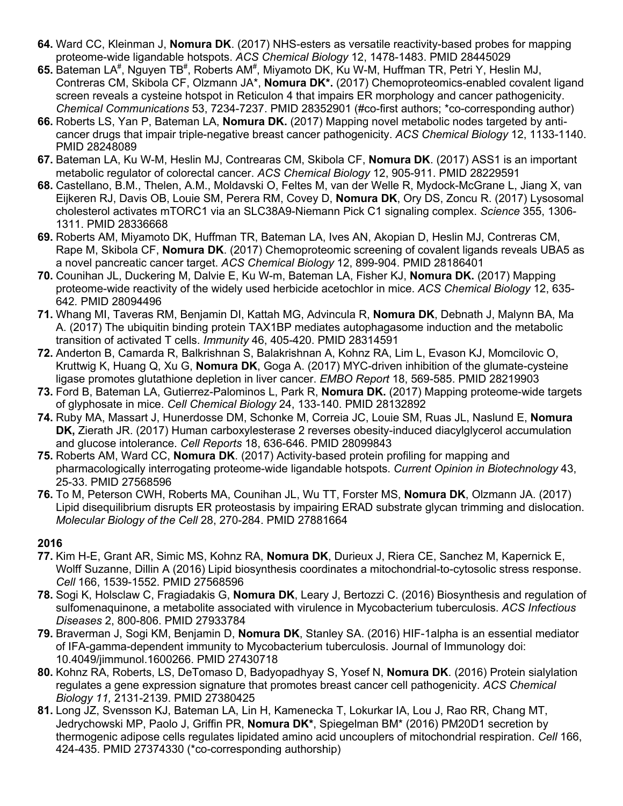- **64.** Ward CC, Kleinman J, **Nomura DK**. (2017) NHS-esters as versatile reactivity-based probes for mapping proteome-wide ligandable hotspots. *ACS Chemical Biology* 12, 1478-1483. PMID 28445029
- 65. Bateman LA<sup>#</sup>, Nguyen TB<sup>#</sup>, Roberts AM<sup>#</sup>, Miyamoto DK, Ku W-M, Huffman TR, Petri Y, Heslin MJ, Contreras CM, Skibola CF, Olzmann JA\*, **Nomura DK\*.** (2017) Chemoproteomics-enabled covalent ligand screen reveals a cysteine hotspot in Reticulon 4 that impairs ER morphology and cancer pathogenicity. *Chemical Communications* 53, 7234-7237. PMID 28352901 (#co-first authors; \*co-corresponding author)
- **66.** Roberts LS, Yan P, Bateman LA, **Nomura DK.** (2017) Mapping novel metabolic nodes targeted by anticancer drugs that impair triple-negative breast cancer pathogenicity. *ACS Chemical Biology* 12, 1133-1140. PMID 28248089
- **67.** Bateman LA, Ku W-M, Heslin MJ, Contrearas CM, Skibola CF, **Nomura DK**. (2017) ASS1 is an important metabolic regulator of colorectal cancer. *ACS Chemical Biology* 12, 905-911. PMID 28229591
- **68.** Castellano, B.M., Thelen, A.M., Moldavski O, Feltes M, van der Welle R, Mydock-McGrane L, Jiang X, van Eijkeren RJ, Davis OB, Louie SM, Perera RM, Covey D, **Nomura DK**, Ory DS, Zoncu R. (2017) Lysosomal cholesterol activates mTORC1 via an SLC38A9-Niemann Pick C1 signaling complex. *Science* 355, 1306- 1311. PMID 28336668
- **69.** Roberts AM, Miyamoto DK, Huffman TR, Bateman LA, Ives AN, Akopian D, Heslin MJ, Contreras CM, Rape M, Skibola CF, **Nomura DK**. (2017) Chemoproteomic screening of covalent ligands reveals UBA5 as a novel pancreatic cancer target. *ACS Chemical Biology* 12, 899-904. PMID 28186401
- **70.** Counihan JL, Duckering M, Dalvie E, Ku W-m, Bateman LA, Fisher KJ, **Nomura DK.** (2017) Mapping proteome-wide reactivity of the widely used herbicide acetochlor in mice. *ACS Chemical Biology* 12, 635- 642*.* PMID 28094496
- **71.** Whang MI, Taveras RM, Benjamin DI, Kattah MG, Advincula R, **Nomura DK**, Debnath J, Malynn BA, Ma A. (2017) The ubiquitin binding protein TAX1BP mediates autophagasome induction and the metabolic transition of activated T cells. *Immunity* 46, 405-420. PMID 28314591
- **72.** Anderton B, Camarda R, Balkrishnan S, Balakrishnan A, Kohnz RA, Lim L, Evason KJ, Momcilovic O, Kruttwig K, Huang Q, Xu G, **Nomura DK**, Goga A. (2017) MYC-driven inhibition of the glumate-cysteine ligase promotes glutathione depletion in liver cancer. *EMBO Report* 18, 569-585. PMID 28219903
- **73.** Ford B, Bateman LA, Gutierrez-Palominos L, Park R, **Nomura DK.** (2017) Mapping proteome-wide targets of glyphosate in mice. *Cell Chemical Biology* 24, 133-140. PMID 28132892
- **74.** Ruby MA, Massart J, Hunerdosse DM, Schonke M, Correia JC, Louie SM, Ruas JL, Naslund E, **Nomura DK,** Zierath JR. (2017) Human carboxylesterase 2 reverses obesity-induced diacylglycerol accumulation and glucose intolerance. *Cell Reports* 18, 636-646. PMID 28099843
- **75.** Roberts AM, Ward CC, **Nomura DK**. (2017) Activity-based protein profiling for mapping and pharmacologically interrogating proteome-wide ligandable hotspots. *Current Opinion in Biotechnology* 43, 25-33. PMID 27568596
- **76.** To M, Peterson CWH, Roberts MA, Counihan JL, Wu TT, Forster MS, **Nomura DK**, Olzmann JA. (2017) Lipid disequilibrium disrupts ER proteostasis by impairing ERAD substrate glycan trimming and dislocation. *Molecular Biology of the Cell* 28, 270-284. PMID 27881664

- **77.** Kim H-E, Grant AR, Simic MS, Kohnz RA, **Nomura DK**, Durieux J, Riera CE, Sanchez M, Kapernick E, Wolff Suzanne, Dillin A (2016) Lipid biosynthesis coordinates a mitochondrial-to-cytosolic stress response. *Cell* 166, 1539-1552. PMID 27568596
- **78.** Sogi K, Holsclaw C, Fragiadakis G, **Nomura DK**, Leary J, Bertozzi C. (2016) Biosynthesis and regulation of sulfomenaquinone, a metabolite associated with virulence in Mycobacterium tuberculosis. *ACS Infectious Diseases* 2, 800-806. PMID 27933784
- **79.** Braverman J, Sogi KM, Benjamin D, **Nomura DK**, Stanley SA. (2016) HIF-1alpha is an essential mediator of IFA-gamma-dependent immunity to Mycobacterium tuberculosis. Journal of Immunology doi: 10.4049/jimmunol.1600266. PMID 27430718
- **80.** Kohnz RA, Roberts, LS, DeTomaso D, Badyopadhyay S, Yosef N, **Nomura DK**. (2016) Protein sialylation regulates a gene expression signature that promotes breast cancer cell pathogenicity. *ACS Chemical Biology 11,* 2131-2139. PMID 27380425
- **81.** Long JZ, Svensson KJ, Bateman LA, Lin H, Kamenecka T, Lokurkar IA, Lou J, Rao RR, Chang MT, Jedrychowski MP, Paolo J, Griffin PR, **Nomura DK\***, Spiegelman BM\* (2016) PM20D1 secretion by thermogenic adipose cells regulates lipidated amino acid uncouplers of mitochondrial respiration. *Cell* 166, 424-435. PMID 27374330 (\*co-corresponding authorship)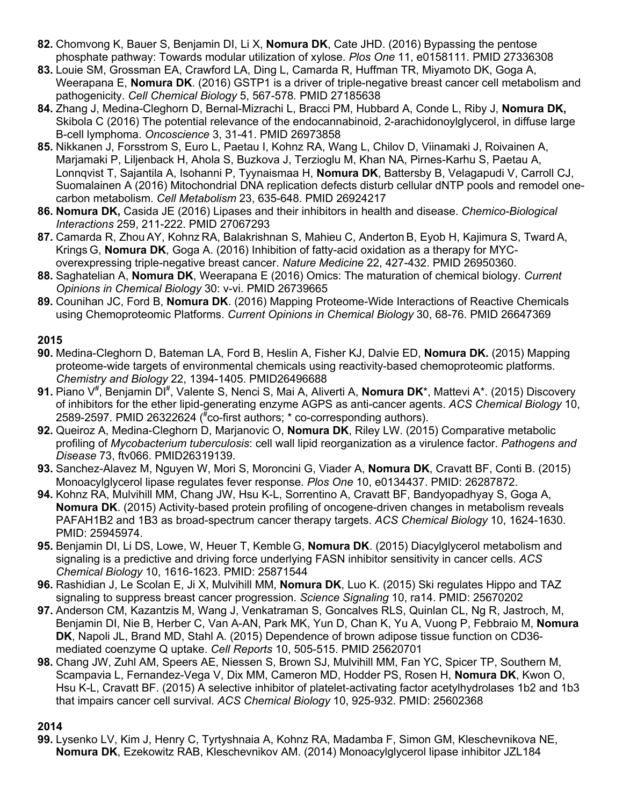- **82.** Chomvong K, Bauer S, Benjamin DI, Li X, **Nomura DK**, Cate JHD. (2016) Bypassing the pentose phosphate pathway: Towards modular utilization of xylose. *Plos One* 11, e0158111. PMID 27336308
- **83.** Louie SM, Grossman EA, Crawford LA, Ding L, Camarda R, Huffman TR, Miyamoto DK, Goga A, Weerapana E, **Nomura DK**. (2016) GSTP1 is a driver of triple-negative breast cancer cell metabolism and pathogenicity. *Cell Chemical Biology* 5, 567-578*.* PMID 27185638
- **84.** Zhang J, Medina-Cleghorn D, Bernal-Mizrachi L, Bracci PM, Hubbard A, Conde L, Riby J, **Nomura DK,** Skibola C (2016) The potential relevance of the endocannabinoid, 2-arachidonoylglycerol, in diffuse large B-cell lymphoma. *Oncoscience* 3, 31-41. PMID 26973858
- **85.** Nikkanen J, Forsstrom S, Euro L, Paetau I, Kohnz RA, Wang L, Chilov D, Viinamaki J, Roivainen A, Marjamaki P, Liljenback H, Ahola S, Buzkova J, Terzioglu M, Khan NA, Pirnes-Karhu S, Paetau A, Lonnqvist T, Sajantila A, Isohanni P, Tyynaismaa H, **Nomura DK**, Battersby B, Velagapudi V, Carroll CJ, Suomalainen A (2016) Mitochondrial DNA replication defects disturb cellular dNTP pools and remodel onecarbon metabolism. *Cell Metabolism* 23, 635-648. PMID 26924217
- **86. Nomura DK,** Casida JE (2016) Lipases and their inhibitors in health and disease. *Chemico-Biological Interactions* 259, 211-222. PMID 27067293
- **87.** Camarda R, Zhou AY, Kohnz RA, Balakrishnan S, Mahieu C, Anderton B, Eyob H, Kajimura S, Tward A, Krings G, **Nomura DK**, Goga A. (2016) Inhibition of fatty-acid oxidation as a therapy for MYCoverexpressing triple-negative breast cancer. *Nature Medicine* 22, 427-432. PMID 26950360.
- **88.** Saghatelian A, **Nomura DK**, Weerapana E (2016) Omics: The maturation of chemical biology. *Current Opinions in Chemical Biology* 30: v-vi. PMID 26739665
- **89.** Counihan JC, Ford B, **Nomura DK**. (2016) Mapping Proteome-Wide Interactions of Reactive Chemicals using Chemoproteomic Platforms. *Current Opinions in Chemical Biology* 30, 68-76. PMID 26647369

- **90.** Medina-Cleghorn D, Bateman LA, Ford B, Heslin A, Fisher KJ, Dalvie ED, **Nomura DK.** (2015) Mapping proteome-wide targets of environmental chemicals using reactivity-based chemoproteomic platforms. *Chemistry and Biology* 22, 1394-1405. PMID26496688
- 91. Piano V<sup>#</sup>, Benjamin DI<sup>#</sup>, Valente S, Nenci S, Mai A, Aliverti A, **Nomura DK**\*, Mattevi A\*. (2015) Discovery of inhibitors for the ether lipid-generating enzyme AGPS as anti-cancer agents. *ACS Chemical Biology* 10, 2589-2597. PMID 26322624 ( # co-first authors; \* co-corresponding authors).
- **92.** Queiroz A, Medina-Cleghorn D, Marjanovic O, **Nomura DK**, Riley LW. (2015) Comparative metabolic profiling of *Mycobacterium tuberculosis*: cell wall lipid reorganization as a virulence factor. *Pathogens and Disease* 73, ftv066. PMID26319139.
- **93.** Sanchez-Alavez M, Nguyen W, Mori S, Moroncini G, Viader A, **Nomura DK**, Cravatt BF, Conti B. (2015) Monoacylglycerol lipase regulates fever response. *Plos One* 10, e0134437. PMID: 26287872.
- **94.** Kohnz RA, Mulvihill MM, Chang JW, Hsu K-L, Sorrentino A, Cravatt BF, Bandyopadhyay S, Goga A, **Nomura DK**. (2015) Activity-based protein profiling of oncogene-driven changes in metabolism reveals PAFAH1B2 and 1B3 as broad-spectrum cancer therapy targets. *ACS Chemical Biology* 10, 1624-1630. PMID: 25945974.
- **95.** Benjamin DI, Li DS, Lowe, W, Heuer T, Kemble G, **Nomura DK**. (2015) Diacylglycerol metabolism and signaling is a predictive and driving force underlying FASN inhibitor sensitivity in cancer cells. *ACS Chemical Biology* 10, 1616-1623. PMID: 25871544
- **96.** Rashidian J, Le Scolan E, Ji X, Mulvihill MM, **Nomura DK**, Luo K. (2015) Ski regulates Hippo and TAZ signaling to suppress breast cancer progression. *Science Signaling* 10, ra14. PMID: 25670202
- **97.** Anderson CM, Kazantzis M, Wang J, Venkatraman S, Goncalves RLS, Quinlan CL, Ng R, Jastroch, M, Benjamin DI, Nie B, Herber C, Van A-AN, Park MK, Yun D, Chan K, Yu A, Vuong P, Febbraio M, **Nomura DK**, Napoli JL, Brand MD, Stahl A. (2015) Dependence of brown adipose tissue function on CD36 mediated coenzyme Q uptake. *Cell Reports* 10, 505-515. PMID 25620701
- **98.** Chang JW, Zuhl AM, Speers AE, Niessen S, Brown SJ, Mulvihill MM, Fan YC, Spicer TP, Southern M, Scampavia L, Fernandez-Vega V, Dix MM, Cameron MD, Hodder PS, Rosen H, **Nomura DK**, Kwon O, Hsu K-L, Cravatt BF. (2015) A selective inhibitor of platelet-activating factor acetylhydrolases 1b2 and 1b3 that impairs cancer cell survival. *ACS Chemical Biology* 10, 925-932. PMID: 25602368

## **2014**

**99.** Lysenko LV, Kim J, Henry C, Tyrtyshnaia A, Kohnz RA, Madamba F, Simon GM, Kleschevnikova NE, **Nomura DK**, Ezekowitz RAB, Kleschevnikov AM. (2014) Monoacylglycerol lipase inhibitor JZL184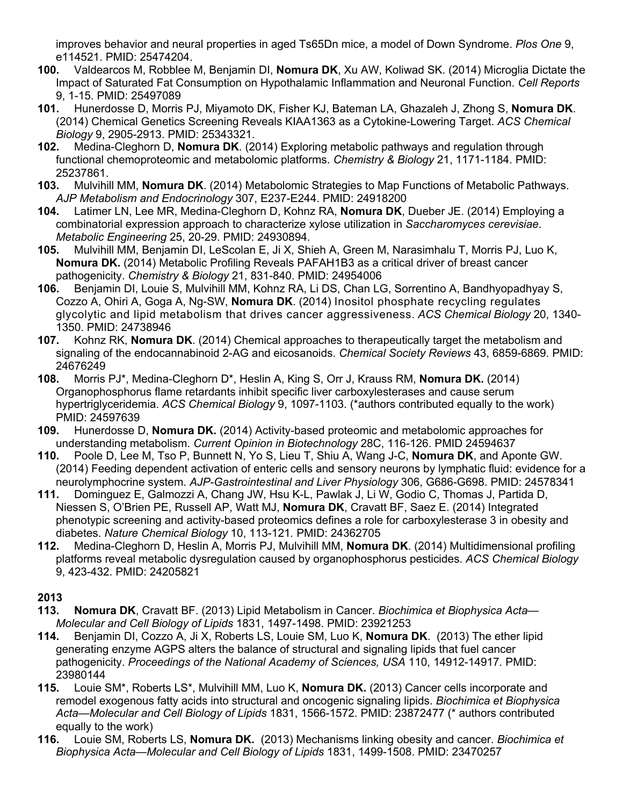improves behavior and neural properties in aged Ts65Dn mice, a model of Down Syndrome. *Plos One* 9, e114521. PMID: 25474204.

- **100.** Valdearcos M, Robblee M, Benjamin DI, **Nomura DK**, Xu AW, Koliwad SK. (2014) Microglia Dictate the Impact of Saturated Fat Consumption on Hypothalamic Inflammation and Neuronal Function. *Cell Reports* 9, 1-15. PMID: 25497089
- **101.** Hunerdosse D, Morris PJ, Miyamoto DK, Fisher KJ, Bateman LA, Ghazaleh J, Zhong S, **Nomura DK**. (2014) Chemical Genetics Screening Reveals KIAA1363 as a Cytokine-Lowering Target. *ACS Chemical Biology* 9, 2905-2913. PMID: 25343321.
- **102.** Medina-Cleghorn D, **Nomura DK**. (2014) Exploring metabolic pathways and regulation through functional chemoproteomic and metabolomic platforms. *Chemistry & Biology* 21, 1171-1184. PMID: 25237861.
- **103.** Mulvihill MM, **Nomura DK**. (2014) Metabolomic Strategies to Map Functions of Metabolic Pathways. *AJP Metabolism and Endocrinology* 307, E237-E244. PMID: 24918200
- **104.** Latimer LN, Lee MR, Medina-Cleghorn D, Kohnz RA, **Nomura DK**, Dueber JE. (2014) Employing a combinatorial expression approach to characterize xylose utilization in *Saccharomyces cerevisiae*. *Metabolic Engineering* 25, 20-29. PMID: 24930894.
- **105.** Mulvihill MM, Benjamin DI, LeScolan E, Ji X, Shieh A, Green M, Narasimhalu T, Morris PJ, Luo K, **Nomura DK.** (2014) Metabolic Profiling Reveals PAFAH1B3 as a critical driver of breast cancer pathogenicity. *Chemistry & Biology* 21, 831-840. PMID: 24954006
- **106.** Benjamin DI, Louie S, Mulvihill MM, Kohnz RA, Li DS, Chan LG, Sorrentino A, Bandhyopadhyay S, Cozzo A, Ohiri A, Goga A, Ng-SW, **Nomura DK**. (2014) Inositol phosphate recycling regulates glycolytic and lipid metabolism that drives cancer aggressiveness. *ACS Chemical Biology* 20, 1340- 1350. PMID: 24738946
- **107.** Kohnz RK, **Nomura DK**. (2014) Chemical approaches to therapeutically target the metabolism and signaling of the endocannabinoid 2-AG and eicosanoids. *Chemical Society Reviews* 43, 6859-6869. PMID: 24676249
- **108.** Morris PJ\*, Medina-Cleghorn D\*, Heslin A, King S, Orr J, Krauss RM, **Nomura DK.** (2014) Organophosphorus flame retardants inhibit specific liver carboxylesterases and cause serum hypertriglyceridemia. *ACS Chemical Biology* 9, 1097-1103. (\*authors contributed equally to the work) PMID: 24597639
- **109.** Hunerdosse D, **Nomura DK.** (2014) Activity-based proteomic and metabolomic approaches for understanding metabolism. *Current Opinion in Biotechnology* 28C, 116-126. PMID 24594637
- **110.** Poole D, Lee M, Tso P, Bunnett N, Yo S, Lieu T, Shiu A, Wang J-C, **Nomura DK**, and Aponte GW. (2014) Feeding dependent activation of enteric cells and sensory neurons by lymphatic fluid: evidence for a neurolymphocrine system. *AJP-Gastrointestinal and Liver Physiology* 306, G686-G698. PMID: 24578341
- **111.** Dominguez E, Galmozzi A, Chang JW, Hsu K-L, Pawlak J, Li W, Godio C, Thomas J, Partida D, Niessen S, O'Brien PE, Russell AP, Watt MJ, **Nomura DK**, Cravatt BF, Saez E. (2014) Integrated phenotypic screening and activity-based proteomics defines a role for carboxylesterase 3 in obesity and diabetes. *Nature Chemical Biology* 10, 113-121*.* PMID: 24362705
- **112.** Medina-Cleghorn D, Heslin A, Morris PJ, Mulvihill MM, **Nomura DK**. (2014) Multidimensional profiling platforms reveal metabolic dysregulation caused by organophosphorus pesticides. *ACS Chemical Biology* 9, 423-432. PMID: 24205821

- **113. Nomura DK**, Cravatt BF. (2013) Lipid Metabolism in Cancer. *Biochimica et Biophysica Acta— Molecular and Cell Biology of Lipids* 1831, 1497-1498. PMID: 23921253
- **114.** Benjamin DI, Cozzo A, Ji X, Roberts LS, Louie SM, Luo K, **Nomura DK**. (2013) The ether lipid generating enzyme AGPS alters the balance of structural and signaling lipids that fuel cancer pathogenicity. *Proceedings of the National Academy of Sciences, USA* 110, 14912-14917*.* PMID: 23980144
- **115.** Louie SM\*, Roberts LS\*, Mulvihill MM, Luo K, **Nomura DK.** (2013) Cancer cells incorporate and remodel exogenous fatty acids into structural and oncogenic signaling lipids. *Biochimica et Biophysica Acta—Molecular and Cell Biology of Lipids* 1831, 1566-1572. PMID: 23872477 (\* authors contributed equally to the work)
- **116.** Louie SM, Roberts LS, **Nomura DK.** (2013) Mechanisms linking obesity and cancer. *Biochimica et Biophysica Acta—Molecular and Cell Biology of Lipids* 1831, 1499-1508. PMID: 23470257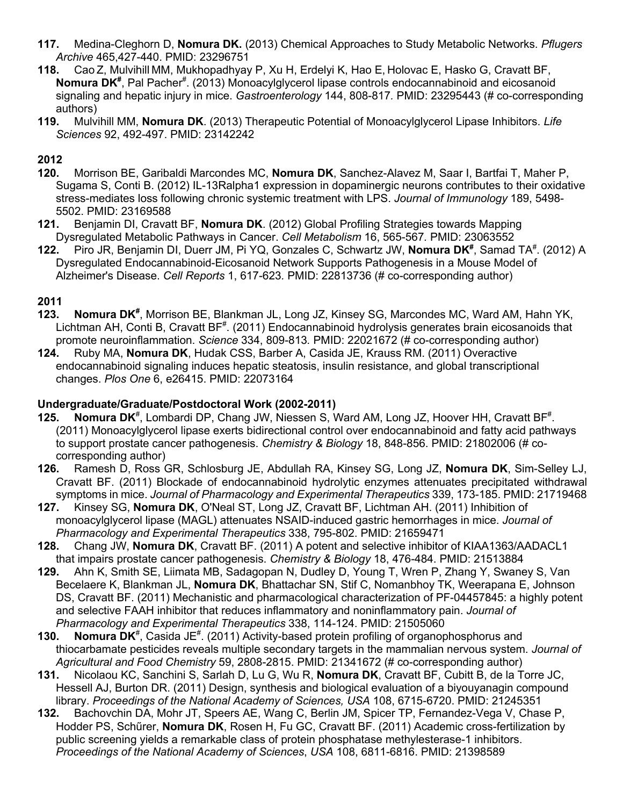- **117.** Medina-Cleghorn D, **Nomura DK.** (2013) Chemical Approaches to Study Metabolic Networks. *Pflugers Archive* 465,427-440. PMID: 23296751
- **118.** Cao Z, Mulvihill MM, Mukhopadhyay P, Xu H, Erdelyi K, Hao E, Holovac E, Hasko G, Cravatt BF, Nomura DK<sup>#</sup>, Pal Pacher<sup>#</sup>. (2013) Monoacylglycerol lipase controls endocannabinoid and eicosanoid signaling and hepatic injury in mice. *Gastroenterology* 144, 808-817*.* PMID: 23295443 (# co-corresponding authors)
- **119.** Mulvihill MM, **Nomura DK**. (2013) Therapeutic Potential of Monoacylglycerol Lipase Inhibitors. *Life Sciences* 92, 492-497. PMID: 23142242

- **120.** Morrison BE, Garibaldi Marcondes MC, **Nomura DK**, Sanchez-Alavez M, Saar I, Bartfai T, Maher P, Sugama S, Conti B. (2012) IL-13Ralpha1 expression in dopaminergic neurons contributes to their oxidative stress-mediates loss following chronic systemic treatment with LPS. *Journal of Immunology* 189, 5498- 5502. PMID: 23169588
- **121.** Benjamin DI, Cravatt BF, **Nomura DK**. (2012) Global Profiling Strategies towards Mapping Dysregulated Metabolic Pathways in Cancer. *Cell Metabolism* 16, 565-567*.* PMID: 23063552
- 122. Piro JR, Benjamin DI, Duerr JM, Pi YQ, Gonzales C, Schwartz JW, Nomura DK<sup>#</sup>, Samad TA<sup>#</sup>. (2012) A Dysregulated Endocannabinoid-Eicosanoid Network Supports Pathogenesis in a Mouse Model of Alzheimer's Disease. *Cell Reports* 1, 617-623*.* PMID: 22813736 (# co-corresponding author)

#### **2011**

- 123. Nomura DK<sup>#</sup>, Morrison BE, Blankman JL, Long JZ, Kinsey SG, Marcondes MC, Ward AM, Hahn YK, Lichtman AH, Conti B, Cravatt BF<sup>#</sup>. (2011) Endocannabinoid hydrolysis generates brain eicosanoids that promote neuroinflammation. *Science* 334, 809-813*.* PMID: 22021672 (# co-corresponding author)
- **124.** Ruby MA, **Nomura DK**, Hudak CSS, Barber A, Casida JE, Krauss RM. (2011) Overactive endocannabinoid signaling induces hepatic steatosis, insulin resistance, and global transcriptional changes. *Plos One* 6, e26415. PMID: 22073164

#### **Undergraduate/Graduate/Postdoctoral Work (2002-2011)**

- 125. **Nomura DK**<sup>#</sup>, Lombardi DP, Chang JW, Niessen S, Ward AM, Long JZ, Hoover HH, Cravatt BF<sup>#</sup>. (2011) Monoacylglycerol lipase exerts bidirectional control over endocannabinoid and fatty acid pathways to support prostate cancer pathogenesis. *Chemistry & Biology* 18, 848-856. PMID: 21802006 (# cocorresponding author)
- **126.** Ramesh D, Ross GR, Schlosburg JE, Abdullah RA, Kinsey SG, Long JZ, **Nomura DK**, Sim-Selley LJ, Cravatt BF. (2011) Blockade of endocannabinoid hydrolytic enzymes attenuates precipitated withdrawal symptoms in mice. *Journal of Pharmacology and Experimental Therapeutics* 339, 173-185. PMID: 21719468
- **127.** Kinsey SG, **Nomura DK**, O'Neal ST, Long JZ, Cravatt BF, Lichtman AH. (2011) Inhibition of monoacylglycerol lipase (MAGL) attenuates NSAID-induced gastric hemorrhages in mice. *Journal of Pharmacology and Experimental Therapeutics* 338, 795-802. PMID: 21659471
- **128.** Chang JW, **Nomura DK**, Cravatt BF. (2011) A potent and selective inhibitor of KIAA1363/AADACL1 that impairs prostate cancer pathogenesis. *Chemistry & Biology* 18, 476-484. PMID: 21513884
- **129.** Ahn K, Smith SE, Liimata MB, Sadagopan N, Dudley D, Young T, Wren P, Zhang Y, Swaney S, Van Becelaere K, Blankman JL, **Nomura DK**, Bhattachar SN, Stif C, Nomanbhoy TK, Weerapana E, Johnson DS, Cravatt BF. (2011) Mechanistic and pharmacological characterization of PF-04457845: a highly potent and selective FAAH inhibitor that reduces inflammatory and noninflammatory pain. *Journal of Pharmacology and Experimental Therapeutics* 338, 114-124. PMID: 21505060
- **130. Nomura DK<sup>#</sup>, Casida JE<sup>#</sup>. (2011) Activity-based protein profiling of organophosphorus and** thiocarbamate pesticides reveals multiple secondary targets in the mammalian nervous system. *Journal of Agricultural and Food Chemistry* 59, 2808-2815. PMID: 21341672 (# co-corresponding author)
- **131.** Nicolaou KC, Sanchini S, Sarlah D, Lu G, Wu R, **Nomura DK**, Cravatt BF, Cubitt B, de la Torre JC, Hessell AJ, Burton DR. (2011) Design, synthesis and biological evaluation of a biyouyanagin compound library. *Proceedings of the National Academy of Sciences, USA* 108, 6715-6720. PMID: 21245351
- **132.** Bachovchin DA, Mohr JT, Speers AE, Wang C, Berlin JM, Spicer TP, Fernandez-Vega V, Chase P, Hodder PS, Schűrer, **Nomura DK**, Rosen H, Fu GC, Cravatt BF. (2011) Academic cross-fertilization by public screening yields a remarkable class of protein phosphatase methylesterase-1 inhibitors. *Proceedings of the National Academy of Sciences*, *USA* 108, 6811-6816. PMID: 21398589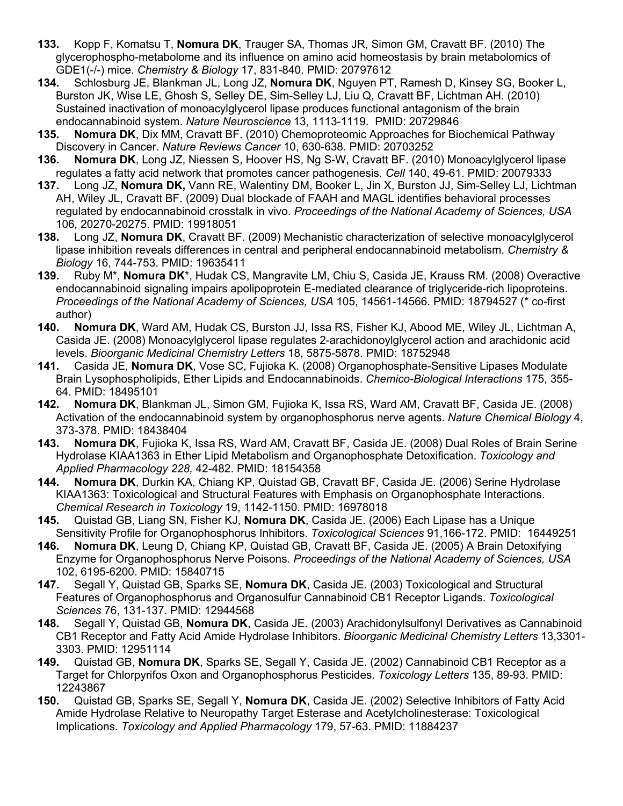- **133.** Kopp F, Komatsu T, **Nomura DK**, Trauger SA, Thomas JR, Simon GM, Cravatt BF. (2010) The glycerophospho-metabolome and its influence on amino acid homeostasis by brain metabolomics of GDE1(-/-) mice. *Chemistry & Biology* 17, 831-840. PMID: 20797612
- **134.** Schlosburg JE, Blankman JL, Long JZ, **Nomura DK**, Nguyen PT, Ramesh D, Kinsey SG, Booker L, Burston JK, Wise LE, Ghosh S, Selley DE, Sim-Selley LJ, Liu Q, Cravatt BF, Lichtman AH. (2010) Sustained inactivation of monoacylglycerol lipase produces functional antagonism of the brain endocannabinoid system. *Nature Neuroscience* 13, 1113-1119. PMID: 20729846
- **135. Nomura DK**, Dix MM, Cravatt BF. (2010) Chemoproteomic Approaches for Biochemical Pathway Discovery in Cancer. *Nature Reviews Cancer* 10, 630-638. PMID: 20703252
- **136. Nomura DK**, Long JZ, Niessen S, Hoover HS, Ng S-W, Cravatt BF. (2010) Monoacylglycerol lipase regulates a fatty acid network that promotes cancer pathogenesis. *Cell* 140, 49-61. PMID: 20079333
- **137.** Long JZ, **Nomura DK,** Vann RE, Walentiny DM, Booker L, Jin X, Burston JJ, Sim-Selley LJ, Lichtman AH, Wiley JL, Cravatt BF. (2009) Dual blockade of FAAH and MAGL identifies behavioral processes regulated by endocannabinoid crosstalk in vivo. *Proceedings of the National Academy of Sciences, USA* 106*,* 20270-20275. PMID: 19918051
- **138.** Long JZ, **Nomura DK**, Cravatt BF. (2009) Mechanistic characterization of selective monoacylglycerol lipase inhibition reveals differences in central and peripheral endocannabinoid metabolism. *Chemistry & Biology* 16, 744-753. PMID: 19635411
- **139.** Ruby M\*, **Nomura DK**\*, Hudak CS, Mangravite LM, Chiu S, Casida JE, Krauss RM. (2008) Overactive endocannabinoid signaling impairs apolipoprotein E-mediated clearance of triglyceride-rich lipoproteins. *Proceedings of the National Academy of Sciences, USA* 105, 14561-14566. PMID: 18794527 (\* co-first author)
- **140. Nomura DK**, Ward AM, Hudak CS, Burston JJ, Issa RS, Fisher KJ, Abood ME, Wiley JL, Lichtman A, Casida JE. (2008) Monoacylglycerol lipase regulates 2-arachidonoylglycerol action and arachidonic acid levels. *Bioorganic Medicinal Chemistry Letters* 18, 5875-5878. PMID: 18752948
- **141.** Casida JE, **Nomura DK**, Vose SC, Fujioka K. (2008) Organophosphate-Sensitive Lipases Modulate Brain Lysophospholipids, Ether Lipids and Endocannabinoids. *Chemico-Biological Interactions* 175, 355- 64. PMID: 18495101
- **142. Nomura DK**, Blankman JL, Simon GM, Fujioka K, Issa RS, Ward AM, Cravatt BF, Casida JE. (2008) Activation of the endocannabinoid system by organophosphorus nerve agents. *Nature Chemical Biology* 4, 373-378. PMID: 18438404
- **143. Nomura DK**, Fujioka K, Issa RS, Ward AM, Cravatt BF, Casida JE. (2008) Dual Roles of Brain Serine Hydrolase KIAA1363 in Ether Lipid Metabolism and Organophosphate Detoxification. *Toxicology and Applied Pharmacology 228,* 42-482. PMID: 18154358
- **144. Nomura DK**, Durkin KA, Chiang KP, Quistad GB, Cravatt BF, Casida JE. (2006) Serine Hydrolase KIAA1363: Toxicological and Structural Features with Emphasis on Organophosphate Interactions. *Chemical Research in Toxicology* 19, 1142-1150. PMID: 16978018
- **145.** Quistad GB, Liang SN, Fisher KJ, **Nomura DK**, Casida JE. (2006) Each Lipase has a Unique Sensitivity Profile for Organophosphorus Inhibitors. *Toxicological Sciences* 91,166-172. PMID: 16449251
- **146. Nomura DK**, Leung D, Chiang KP, Quistad GB, Cravatt BF, Casida JE. (2005) A Brain Detoxifying Enzyme for Organophosphorus Nerve Poisons. *Proceedings of the National Academy of Sciences, USA* 102, 6195-6200. PMID: 15840715
- **147.** Segall Y, Quistad GB, Sparks SE, **Nomura DK**, Casida JE. (2003) Toxicological and Structural Features of Organophosphorus and Organosulfur Cannabinoid CB1 Receptor Ligands. *Toxicological Sciences* 76, 131-137. PMID: 12944568
- **148.** Segall Y, Quistad GB, **Nomura DK**, Casida JE. (2003) Arachidonylsulfonyl Derivatives as Cannabinoid CB1 Receptor and Fatty Acid Amide Hydrolase Inhibitors. *Bioorganic Medicinal Chemistry Letters* 13,3301- 3303. PMID: 12951114
- **149.** Quistad GB, **Nomura DK**, Sparks SE, Segall Y, Casida JE. (2002) Cannabinoid CB1 Receptor as a Target for Chlorpyrifos Oxon and Organophosphorus Pesticides. *Toxicology Letters* 135, 89-93. PMID: 12243867
- **150.** Quistad GB, Sparks SE, Segall Y, **Nomura DK**, Casida JE. (2002) Selective Inhibitors of Fatty Acid Amide Hydrolase Relative to Neuropathy Target Esterase and Acetylcholinesterase: Toxicological Implications. *Toxicology and Applied Pharmacology* 179, 57-63. PMID: 11884237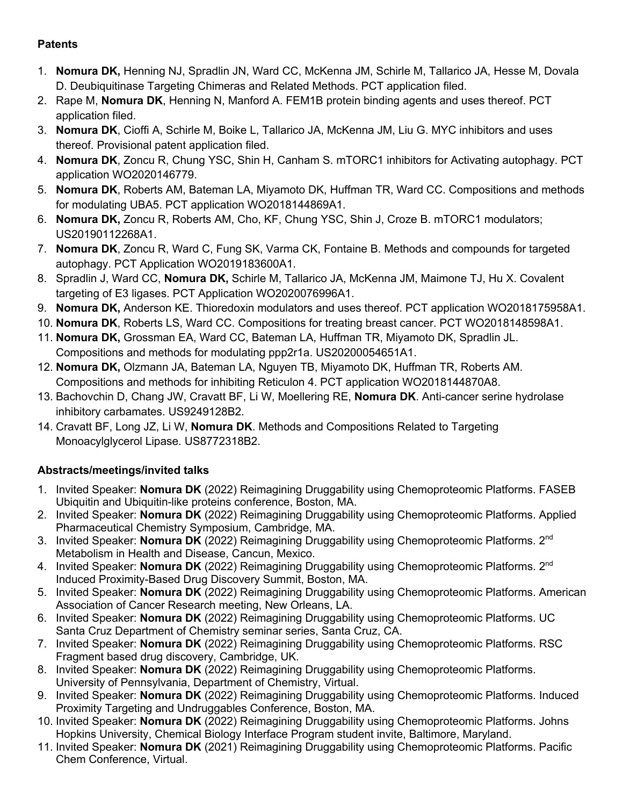# **Patents**

- 1. **Nomura DK,** Henning NJ, Spradlin JN, Ward CC, McKenna JM, Schirle M, Tallarico JA, Hesse M, Dovala D. Deubiquitinase Targeting Chimeras and Related Methods. PCT application filed.
- 2. Rape M, **Nomura DK**, Henning N, Manford A. FEM1B protein binding agents and uses thereof. PCT application filed.
- 3. **Nomura DK**, Cioffi A, Schirle M, Boike L, Tallarico JA, McKenna JM, Liu G. MYC inhibitors and uses thereof. Provisional patent application filed.
- 4. **Nomura DK**, Zoncu R, Chung YSC, Shin H, Canham S. mTORC1 inhibitors for Activating autophagy. PCT application WO2020146779.
- 5. **Nomura DK**, Roberts AM, Bateman LA, Miyamoto DK, Huffman TR, Ward CC. Compositions and methods for modulating UBA5. PCT application WO2018144869A1.
- 6. **Nomura DK,** Zoncu R, Roberts AM, Cho, KF, Chung YSC, Shin J, Croze B. mTORC1 modulators; US20190112268A1.
- 7. **Nomura DK**, Zoncu R, Ward C, Fung SK, Varma CK, Fontaine B. Methods and compounds for targeted autophagy. PCT Application WO2019183600A1.
- 8. Spradlin J, Ward CC, **Nomura DK,** Schirle M, Tallarico JA, McKenna JM, Maimone TJ, Hu X. Covalent targeting of E3 ligases. PCT Application WO2020076996A1.
- 9. **Nomura DK,** Anderson KE. Thioredoxin modulators and uses thereof. PCT application WO2018175958A1.
- 10. **Nomura DK**, Roberts LS, Ward CC. Compositions for treating breast cancer. PCT WO2018148598A1.
- 11. **Nomura DK,** Grossman EA, Ward CC, Bateman LA, Huffman TR, Miyamoto DK, Spradlin JL. Compositions and methods for modulating ppp2r1a. US20200054651A1.
- 12. **Nomura DK,** Olzmann JA, Bateman LA, Nguyen TB, Miyamoto DK, Huffman TR, Roberts AM. Compositions and methods for inhibiting Reticulon 4. PCT application WO2018144870A8.
- 13. Bachovchin D, Chang JW, Cravatt BF, Li W, Moellering RE, **Nomura DK**. Anti-cancer serine hydrolase inhibitory carbamates. US9249128B2.
- 14. Cravatt BF, Long JZ, Li W, **Nomura DK**. Methods and Compositions Related to Targeting Monoacylglycerol Lipase. US8772318B2.

# **Abstracts/meetings/invited talks**

- 1. Invited Speaker: **Nomura DK** (2022) Reimagining Druggability using Chemoproteomic Platforms. FASEB Ubiquitin and Ubiquitin-like proteins conference, Boston, MA.
- 2. Invited Speaker: **Nomura DK** (2022) Reimagining Druggability using Chemoproteomic Platforms. Applied Pharmaceutical Chemistry Symposium, Cambridge, MA.
- 3. Invited Speaker: **Nomura DK** (2022) Reimagining Druggability using Chemoproteomic Platforms. 2nd Metabolism in Health and Disease, Cancun, Mexico.
- 4. Invited Speaker: **Nomura DK** (2022) Reimagining Druggability using Chemoproteomic Platforms. 2nd Induced Proximity-Based Drug Discovery Summit, Boston, MA.
- 5. Invited Speaker: **Nomura DK** (2022) Reimagining Druggability using Chemoproteomic Platforms. American Association of Cancer Research meeting, New Orleans, LA.
- 6. Invited Speaker: **Nomura DK** (2022) Reimagining Druggability using Chemoproteomic Platforms. UC Santa Cruz Department of Chemistry seminar series, Santa Cruz, CA.
- 7. Invited Speaker: **Nomura DK** (2022) Reimagining Druggability using Chemoproteomic Platforms. RSC Fragment based drug discovery, Cambridge, UK.
- 8. Invited Speaker: **Nomura DK** (2022) Reimagining Druggability using Chemoproteomic Platforms. University of Pennsylvania, Department of Chemistry, Virtual.
- 9. Invited Speaker: **Nomura DK** (2022) Reimagining Druggability using Chemoproteomic Platforms. Induced Proximity Targeting and Undruggables Conference, Boston, MA.
- 10. Invited Speaker: **Nomura DK** (2022) Reimagining Druggability using Chemoproteomic Platforms. Johns Hopkins University, Chemical Biology Interface Program student invite, Baltimore, Maryland.
- 11. Invited Speaker: **Nomura DK** (2021) Reimagining Druggability using Chemoproteomic Platforms. Pacific Chem Conference, Virtual.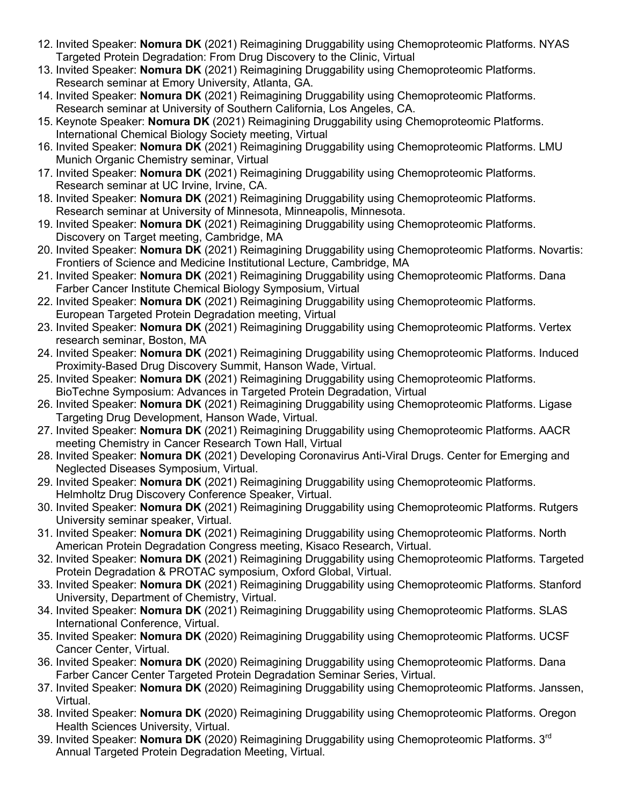- 12. Invited Speaker: **Nomura DK** (2021) Reimagining Druggability using Chemoproteomic Platforms. NYAS Targeted Protein Degradation: From Drug Discovery to the Clinic, Virtual
- 13. Invited Speaker: **Nomura DK** (2021) Reimagining Druggability using Chemoproteomic Platforms. Research seminar at Emory University, Atlanta, GA.
- 14. Invited Speaker: **Nomura DK** (2021) Reimagining Druggability using Chemoproteomic Platforms. Research seminar at University of Southern California, Los Angeles, CA.
- 15. Keynote Speaker: **Nomura DK** (2021) Reimagining Druggability using Chemoproteomic Platforms. International Chemical Biology Society meeting, Virtual
- 16. Invited Speaker: **Nomura DK** (2021) Reimagining Druggability using Chemoproteomic Platforms. LMU Munich Organic Chemistry seminar, Virtual
- 17. Invited Speaker: **Nomura DK** (2021) Reimagining Druggability using Chemoproteomic Platforms. Research seminar at UC Irvine, Irvine, CA.
- 18. Invited Speaker: **Nomura DK** (2021) Reimagining Druggability using Chemoproteomic Platforms. Research seminar at University of Minnesota, Minneapolis, Minnesota.
- 19. Invited Speaker: **Nomura DK** (2021) Reimagining Druggability using Chemoproteomic Platforms. Discovery on Target meeting, Cambridge, MA
- 20. Invited Speaker: **Nomura DK** (2021) Reimagining Druggability using Chemoproteomic Platforms. Novartis: Frontiers of Science and Medicine Institutional Lecture, Cambridge, MA
- 21. Invited Speaker: **Nomura DK** (2021) Reimagining Druggability using Chemoproteomic Platforms. Dana Farber Cancer Institute Chemical Biology Symposium, Virtual
- 22. Invited Speaker: **Nomura DK** (2021) Reimagining Druggability using Chemoproteomic Platforms. European Targeted Protein Degradation meeting, Virtual
- 23. Invited Speaker: **Nomura DK** (2021) Reimagining Druggability using Chemoproteomic Platforms. Vertex research seminar, Boston, MA
- 24. Invited Speaker: **Nomura DK** (2021) Reimagining Druggability using Chemoproteomic Platforms. Induced Proximity-Based Drug Discovery Summit, Hanson Wade, Virtual.
- 25. Invited Speaker: **Nomura DK** (2021) Reimagining Druggability using Chemoproteomic Platforms. BioTechne Symposium: Advances in Targeted Protein Degradation, Virtual
- 26. Invited Speaker: **Nomura DK** (2021) Reimagining Druggability using Chemoproteomic Platforms. Ligase Targeting Drug Development, Hanson Wade, Virtual.
- 27. Invited Speaker: **Nomura DK** (2021) Reimagining Druggability using Chemoproteomic Platforms. AACR meeting Chemistry in Cancer Research Town Hall, Virtual
- 28. Invited Speaker: **Nomura DK** (2021) Developing Coronavirus Anti-Viral Drugs. Center for Emerging and Neglected Diseases Symposium, Virtual.
- 29. Invited Speaker: **Nomura DK** (2021) Reimagining Druggability using Chemoproteomic Platforms. Helmholtz Drug Discovery Conference Speaker, Virtual.
- 30. Invited Speaker: **Nomura DK** (2021) Reimagining Druggability using Chemoproteomic Platforms. Rutgers University seminar speaker, Virtual.
- 31. Invited Speaker: **Nomura DK** (2021) Reimagining Druggability using Chemoproteomic Platforms. North American Protein Degradation Congress meeting, Kisaco Research, Virtual.
- 32. Invited Speaker: **Nomura DK** (2021) Reimagining Druggability using Chemoproteomic Platforms. Targeted Protein Degradation & PROTAC symposium, Oxford Global, Virtual.
- 33. Invited Speaker: **Nomura DK** (2021) Reimagining Druggability using Chemoproteomic Platforms. Stanford University, Department of Chemistry, Virtual.
- 34. Invited Speaker: **Nomura DK** (2021) Reimagining Druggability using Chemoproteomic Platforms. SLAS International Conference, Virtual.
- 35. Invited Speaker: **Nomura DK** (2020) Reimagining Druggability using Chemoproteomic Platforms. UCSF Cancer Center, Virtual.
- 36. Invited Speaker: **Nomura DK** (2020) Reimagining Druggability using Chemoproteomic Platforms. Dana Farber Cancer Center Targeted Protein Degradation Seminar Series, Virtual.
- 37. Invited Speaker: **Nomura DK** (2020) Reimagining Druggability using Chemoproteomic Platforms. Janssen, Virtual.
- 38. Invited Speaker: **Nomura DK** (2020) Reimagining Druggability using Chemoproteomic Platforms. Oregon Health Sciences University, Virtual.
- 39. Invited Speaker: **Nomura DK** (2020) Reimagining Druggability using Chemoproteomic Platforms. 3rd Annual Targeted Protein Degradation Meeting, Virtual.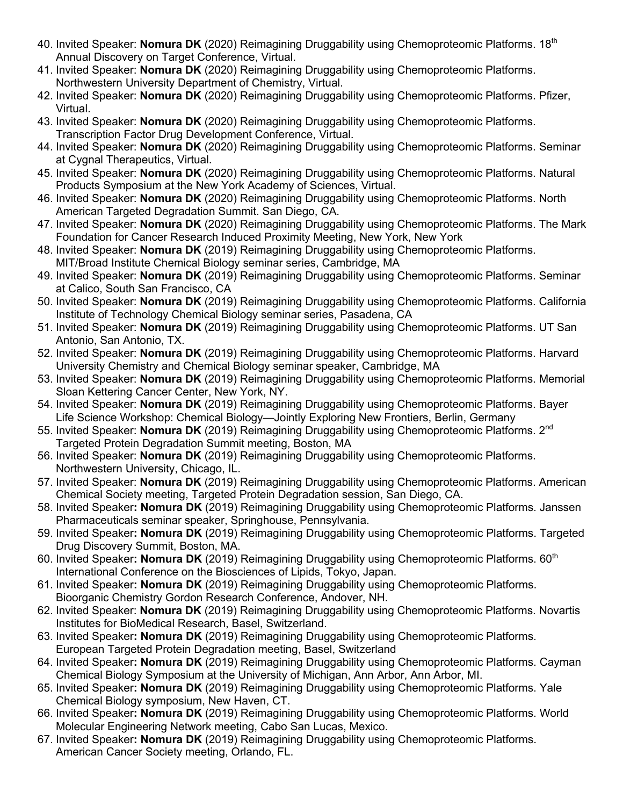- 40. Invited Speaker: **Nomura DK** (2020) Reimagining Druggability using Chemoproteomic Platforms. 18th Annual Discovery on Target Conference, Virtual.
- 41. Invited Speaker: **Nomura DK** (2020) Reimagining Druggability using Chemoproteomic Platforms. Northwestern University Department of Chemistry, Virtual.
- 42. Invited Speaker: **Nomura DK** (2020) Reimagining Druggability using Chemoproteomic Platforms. Pfizer, Virtual.
- 43. Invited Speaker: **Nomura DK** (2020) Reimagining Druggability using Chemoproteomic Platforms. Transcription Factor Drug Development Conference, Virtual.
- 44. Invited Speaker: **Nomura DK** (2020) Reimagining Druggability using Chemoproteomic Platforms. Seminar at Cygnal Therapeutics, Virtual.
- 45. Invited Speaker: **Nomura DK** (2020) Reimagining Druggability using Chemoproteomic Platforms. Natural Products Symposium at the New York Academy of Sciences, Virtual.
- 46. Invited Speaker: **Nomura DK** (2020) Reimagining Druggability using Chemoproteomic Platforms. North American Targeted Degradation Summit. San Diego, CA.
- 47. Invited Speaker: **Nomura DK** (2020) Reimagining Druggability using Chemoproteomic Platforms. The Mark Foundation for Cancer Research Induced Proximity Meeting, New York, New York
- 48. Invited Speaker: **Nomura DK** (2019) Reimagining Druggability using Chemoproteomic Platforms. MIT/Broad Institute Chemical Biology seminar series, Cambridge, MA
- 49. Invited Speaker: **Nomura DK** (2019) Reimagining Druggability using Chemoproteomic Platforms. Seminar at Calico, South San Francisco, CA
- 50. Invited Speaker: **Nomura DK** (2019) Reimagining Druggability using Chemoproteomic Platforms. California Institute of Technology Chemical Biology seminar series, Pasadena, CA
- 51. Invited Speaker: **Nomura DK** (2019) Reimagining Druggability using Chemoproteomic Platforms. UT San Antonio, San Antonio, TX.
- 52. Invited Speaker: **Nomura DK** (2019) Reimagining Druggability using Chemoproteomic Platforms. Harvard University Chemistry and Chemical Biology seminar speaker, Cambridge, MA
- 53. Invited Speaker: **Nomura DK** (2019) Reimagining Druggability using Chemoproteomic Platforms. Memorial Sloan Kettering Cancer Center, New York, NY.
- 54. Invited Speaker: **Nomura DK** (2019) Reimagining Druggability using Chemoproteomic Platforms. Bayer Life Science Workshop: Chemical Biology—Jointly Exploring New Frontiers, Berlin, Germany
- 55. Invited Speaker: **Nomura DK** (2019) Reimagining Druggability using Chemoproteomic Platforms. 2nd Targeted Protein Degradation Summit meeting, Boston, MA
- 56. Invited Speaker: **Nomura DK** (2019) Reimagining Druggability using Chemoproteomic Platforms. Northwestern University, Chicago, IL.
- 57. Invited Speaker: **Nomura DK** (2019) Reimagining Druggability using Chemoproteomic Platforms. American Chemical Society meeting, Targeted Protein Degradation session, San Diego, CA.
- 58. Invited Speaker**: Nomura DK** (2019) Reimagining Druggability using Chemoproteomic Platforms. Janssen Pharmaceuticals seminar speaker, Springhouse, Pennsylvania.
- 59. Invited Speaker**: Nomura DK** (2019) Reimagining Druggability using Chemoproteomic Platforms. Targeted Drug Discovery Summit, Boston, MA.
- 60. Invited Speaker: Nomura DK (2019) Reimagining Druggability using Chemoproteomic Platforms. 60<sup>th</sup> International Conference on the Biosciences of Lipids, Tokyo, Japan.
- 61. Invited Speaker**: Nomura DK** (2019) Reimagining Druggability using Chemoproteomic Platforms. Bioorganic Chemistry Gordon Research Conference, Andover, NH.
- 62. Invited Speaker: **Nomura DK** (2019) Reimagining Druggability using Chemoproteomic Platforms. Novartis Institutes for BioMedical Research, Basel, Switzerland.
- 63. Invited Speaker**: Nomura DK** (2019) Reimagining Druggability using Chemoproteomic Platforms. European Targeted Protein Degradation meeting, Basel, Switzerland
- 64. Invited Speaker**: Nomura DK** (2019) Reimagining Druggability using Chemoproteomic Platforms. Cayman Chemical Biology Symposium at the University of Michigan, Ann Arbor, Ann Arbor, MI.
- 65. Invited Speaker**: Nomura DK** (2019) Reimagining Druggability using Chemoproteomic Platforms. Yale Chemical Biology symposium, New Haven, CT.
- 66. Invited Speaker**: Nomura DK** (2019) Reimagining Druggability using Chemoproteomic Platforms. World Molecular Engineering Network meeting, Cabo San Lucas, Mexico.
- 67. Invited Speaker**: Nomura DK** (2019) Reimagining Druggability using Chemoproteomic Platforms. American Cancer Society meeting, Orlando, FL.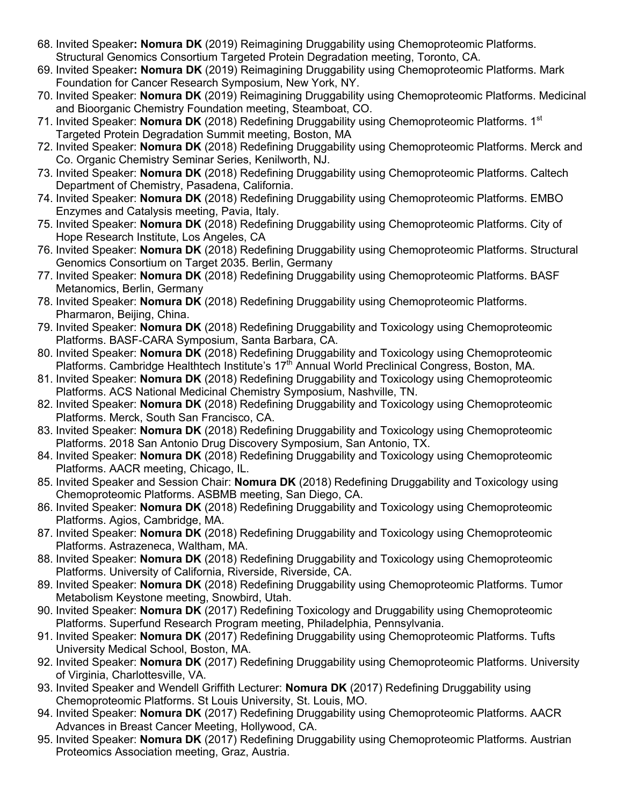- 68. Invited Speaker**: Nomura DK** (2019) Reimagining Druggability using Chemoproteomic Platforms. Structural Genomics Consortium Targeted Protein Degradation meeting, Toronto, CA.
- 69. Invited Speaker**: Nomura DK** (2019) Reimagining Druggability using Chemoproteomic Platforms. Mark Foundation for Cancer Research Symposium, New York, NY.
- 70. Invited Speaker: **Nomura DK** (2019) Reimagining Druggability using Chemoproteomic Platforms. Medicinal and Bioorganic Chemistry Foundation meeting, Steamboat, CO.
- 71. Invited Speaker: **Nomura DK** (2018) Redefining Druggability using Chemoproteomic Platforms. 1st Targeted Protein Degradation Summit meeting, Boston, MA
- 72. Invited Speaker: **Nomura DK** (2018) Redefining Druggability using Chemoproteomic Platforms. Merck and Co. Organic Chemistry Seminar Series, Kenilworth, NJ.
- 73. Invited Speaker: **Nomura DK** (2018) Redefining Druggability using Chemoproteomic Platforms. Caltech Department of Chemistry, Pasadena, California.
- 74. Invited Speaker: **Nomura DK** (2018) Redefining Druggability using Chemoproteomic Platforms. EMBO Enzymes and Catalysis meeting, Pavia, Italy.
- 75. Invited Speaker: **Nomura DK** (2018) Redefining Druggability using Chemoproteomic Platforms. City of Hope Research Institute, Los Angeles, CA
- 76. Invited Speaker: **Nomura DK** (2018) Redefining Druggability using Chemoproteomic Platforms. Structural Genomics Consortium on Target 2035. Berlin, Germany
- 77. Invited Speaker: **Nomura DK** (2018) Redefining Druggability using Chemoproteomic Platforms. BASF Metanomics, Berlin, Germany
- 78. Invited Speaker: **Nomura DK** (2018) Redefining Druggability using Chemoproteomic Platforms. Pharmaron, Beijing, China.
- 79. Invited Speaker: **Nomura DK** (2018) Redefining Druggability and Toxicology using Chemoproteomic Platforms. BASF-CARA Symposium, Santa Barbara, CA.
- 80. Invited Speaker: **Nomura DK** (2018) Redefining Druggability and Toxicology using Chemoproteomic Platforms. Cambridge Healthtech Institute's 17<sup>th</sup> Annual World Preclinical Congress, Boston, MA.
- 81. Invited Speaker: **Nomura DK** (2018) Redefining Druggability and Toxicology using Chemoproteomic Platforms. ACS National Medicinal Chemistry Symposium, Nashville, TN.
- 82. Invited Speaker: **Nomura DK** (2018) Redefining Druggability and Toxicology using Chemoproteomic Platforms. Merck, South San Francisco, CA.
- 83. Invited Speaker: **Nomura DK** (2018) Redefining Druggability and Toxicology using Chemoproteomic Platforms. 2018 San Antonio Drug Discovery Symposium, San Antonio, TX.
- 84. Invited Speaker: **Nomura DK** (2018) Redefining Druggability and Toxicology using Chemoproteomic Platforms. AACR meeting, Chicago, IL.
- 85. Invited Speaker and Session Chair: **Nomura DK** (2018) Redefining Druggability and Toxicology using Chemoproteomic Platforms. ASBMB meeting, San Diego, CA.
- 86. Invited Speaker: **Nomura DK** (2018) Redefining Druggability and Toxicology using Chemoproteomic Platforms. Agios, Cambridge, MA.
- 87. Invited Speaker: **Nomura DK** (2018) Redefining Druggability and Toxicology using Chemoproteomic Platforms. Astrazeneca, Waltham, MA.
- 88. Invited Speaker: **Nomura DK** (2018) Redefining Druggability and Toxicology using Chemoproteomic Platforms. University of California, Riverside, Riverside, CA.
- 89. Invited Speaker: **Nomura DK** (2018) Redefining Druggability using Chemoproteomic Platforms. Tumor Metabolism Keystone meeting, Snowbird, Utah.
- 90. Invited Speaker: **Nomura DK** (2017) Redefining Toxicology and Druggability using Chemoproteomic Platforms. Superfund Research Program meeting, Philadelphia, Pennsylvania.
- 91. Invited Speaker: **Nomura DK** (2017) Redefining Druggability using Chemoproteomic Platforms. Tufts University Medical School, Boston, MA.
- 92. Invited Speaker: **Nomura DK** (2017) Redefining Druggability using Chemoproteomic Platforms. University of Virginia, Charlottesville, VA.
- 93. Invited Speaker and Wendell Griffith Lecturer: **Nomura DK** (2017) Redefining Druggability using Chemoproteomic Platforms. St Louis University, St. Louis, MO.
- 94. Invited Speaker: **Nomura DK** (2017) Redefining Druggability using Chemoproteomic Platforms. AACR Advances in Breast Cancer Meeting, Hollywood, CA.
- 95. Invited Speaker: **Nomura DK** (2017) Redefining Druggability using Chemoproteomic Platforms. Austrian Proteomics Association meeting, Graz, Austria.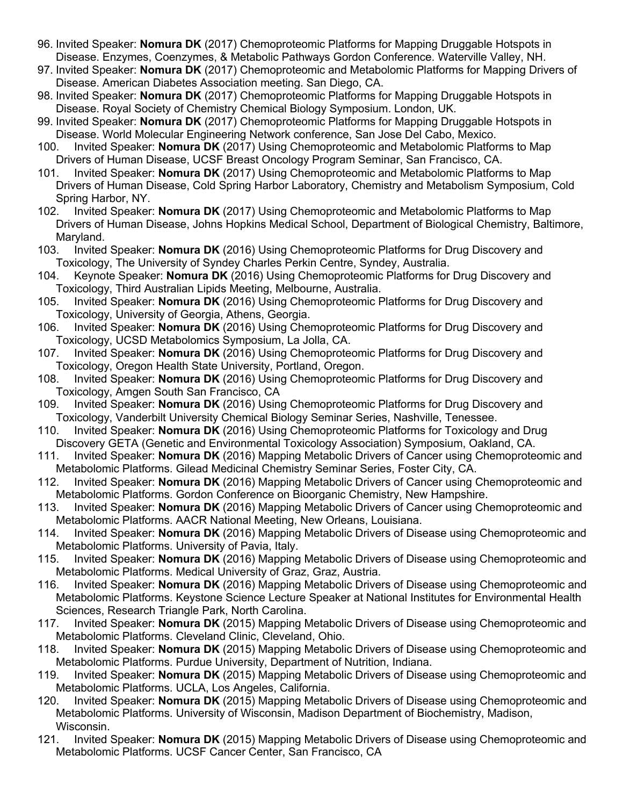- 96. Invited Speaker: **Nomura DK** (2017) Chemoproteomic Platforms for Mapping Druggable Hotspots in Disease. Enzymes, Coenzymes, & Metabolic Pathways Gordon Conference. Waterville Valley, NH.
- 97. Invited Speaker: **Nomura DK** (2017) Chemoproteomic and Metabolomic Platforms for Mapping Drivers of Disease. American Diabetes Association meeting. San Diego, CA.
- 98. Invited Speaker: **Nomura DK** (2017) Chemoproteomic Platforms for Mapping Druggable Hotspots in Disease. Royal Society of Chemistry Chemical Biology Symposium. London, UK.
- 99. Invited Speaker: **Nomura DK** (2017) Chemoproteomic Platforms for Mapping Druggable Hotspots in Disease. World Molecular Engineering Network conference, San Jose Del Cabo, Mexico.
- 100. Invited Speaker: **Nomura DK** (2017) Using Chemoproteomic and Metabolomic Platforms to Map Drivers of Human Disease, UCSF Breast Oncology Program Seminar, San Francisco, CA.
- 101. Invited Speaker: **Nomura DK** (2017) Using Chemoproteomic and Metabolomic Platforms to Map Drivers of Human Disease, Cold Spring Harbor Laboratory, Chemistry and Metabolism Symposium, Cold Spring Harbor, NY.
- 102. Invited Speaker: **Nomura DK** (2017) Using Chemoproteomic and Metabolomic Platforms to Map Drivers of Human Disease, Johns Hopkins Medical School, Department of Biological Chemistry, Baltimore, Maryland.
- 103. Invited Speaker: **Nomura DK** (2016) Using Chemoproteomic Platforms for Drug Discovery and Toxicology, The University of Syndey Charles Perkin Centre, Syndey, Australia.
- 104. Keynote Speaker: **Nomura DK** (2016) Using Chemoproteomic Platforms for Drug Discovery and Toxicology, Third Australian Lipids Meeting, Melbourne, Australia.
- 105. Invited Speaker: **Nomura DK** (2016) Using Chemoproteomic Platforms for Drug Discovery and Toxicology, University of Georgia, Athens, Georgia.
- 106. Invited Speaker: **Nomura DK** (2016) Using Chemoproteomic Platforms for Drug Discovery and Toxicology, UCSD Metabolomics Symposium, La Jolla, CA.
- 107. Invited Speaker: **Nomura DK** (2016) Using Chemoproteomic Platforms for Drug Discovery and Toxicology, Oregon Health State University, Portland, Oregon.
- 108. Invited Speaker: **Nomura DK** (2016) Using Chemoproteomic Platforms for Drug Discovery and Toxicology, Amgen South San Francisco, CA
- 109. Invited Speaker: **Nomura DK** (2016) Using Chemoproteomic Platforms for Drug Discovery and Toxicology, Vanderbilt University Chemical Biology Seminar Series, Nashville, Tenessee.
- 110. Invited Speaker: **Nomura DK** (2016) Using Chemoproteomic Platforms for Toxicology and Drug Discovery GETA (Genetic and Environmental Toxicology Association) Symposium, Oakland, CA.
- 111. Invited Speaker: **Nomura DK** (2016) Mapping Metabolic Drivers of Cancer using Chemoproteomic and Metabolomic Platforms. Gilead Medicinal Chemistry Seminar Series, Foster City, CA.
- 112. Invited Speaker: **Nomura DK** (2016) Mapping Metabolic Drivers of Cancer using Chemoproteomic and Metabolomic Platforms. Gordon Conference on Bioorganic Chemistry, New Hampshire.
- 113. Invited Speaker: **Nomura DK** (2016) Mapping Metabolic Drivers of Cancer using Chemoproteomic and Metabolomic Platforms. AACR National Meeting, New Orleans, Louisiana.
- 114. Invited Speaker: **Nomura DK** (2016) Mapping Metabolic Drivers of Disease using Chemoproteomic and Metabolomic Platforms. University of Pavia, Italy.
- 115. Invited Speaker: **Nomura DK** (2016) Mapping Metabolic Drivers of Disease using Chemoproteomic and Metabolomic Platforms. Medical University of Graz, Graz, Austria.
- 116. Invited Speaker: **Nomura DK** (2016) Mapping Metabolic Drivers of Disease using Chemoproteomic and Metabolomic Platforms. Keystone Science Lecture Speaker at National Institutes for Environmental Health Sciences, Research Triangle Park, North Carolina.
- 117. Invited Speaker: **Nomura DK** (2015) Mapping Metabolic Drivers of Disease using Chemoproteomic and Metabolomic Platforms. Cleveland Clinic, Cleveland, Ohio.
- 118. Invited Speaker: **Nomura DK** (2015) Mapping Metabolic Drivers of Disease using Chemoproteomic and Metabolomic Platforms. Purdue University, Department of Nutrition, Indiana.
- 119. Invited Speaker: **Nomura DK** (2015) Mapping Metabolic Drivers of Disease using Chemoproteomic and Metabolomic Platforms. UCLA, Los Angeles, California.
- 120. Invited Speaker: **Nomura DK** (2015) Mapping Metabolic Drivers of Disease using Chemoproteomic and Metabolomic Platforms. University of Wisconsin, Madison Department of Biochemistry, Madison, Wisconsin.
- 121. Invited Speaker: **Nomura DK** (2015) Mapping Metabolic Drivers of Disease using Chemoproteomic and Metabolomic Platforms. UCSF Cancer Center, San Francisco, CA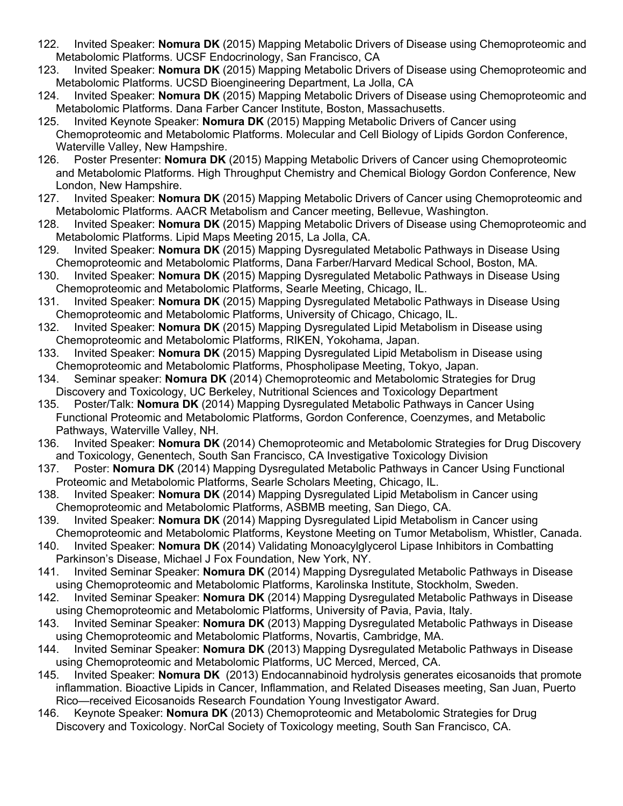- 122. Invited Speaker: **Nomura DK** (2015) Mapping Metabolic Drivers of Disease using Chemoproteomic and Metabolomic Platforms. UCSF Endocrinology, San Francisco, CA
- 123. Invited Speaker: **Nomura DK** (2015) Mapping Metabolic Drivers of Disease using Chemoproteomic and Metabolomic Platforms. UCSD Bioengineering Department, La Jolla, CA
- 124. Invited Speaker: **Nomura DK** (2015) Mapping Metabolic Drivers of Disease using Chemoproteomic and Metabolomic Platforms. Dana Farber Cancer Institute, Boston, Massachusetts.
- 125. Invited Keynote Speaker: **Nomura DK** (2015) Mapping Metabolic Drivers of Cancer using Chemoproteomic and Metabolomic Platforms. Molecular and Cell Biology of Lipids Gordon Conference, Waterville Valley, New Hampshire.
- 126. Poster Presenter: **Nomura DK** (2015) Mapping Metabolic Drivers of Cancer using Chemoproteomic and Metabolomic Platforms. High Throughput Chemistry and Chemical Biology Gordon Conference, New London, New Hampshire.
- 127. Invited Speaker: **Nomura DK** (2015) Mapping Metabolic Drivers of Cancer using Chemoproteomic and Metabolomic Platforms. AACR Metabolism and Cancer meeting, Bellevue, Washington.
- 128. Invited Speaker: **Nomura DK** (2015) Mapping Metabolic Drivers of Disease using Chemoproteomic and Metabolomic Platforms. Lipid Maps Meeting 2015, La Jolla, CA.
- 129. Invited Speaker: **Nomura DK** (2015) Mapping Dysregulated Metabolic Pathways in Disease Using Chemoproteomic and Metabolomic Platforms, Dana Farber/Harvard Medical School, Boston, MA.
- 130. Invited Speaker: **Nomura DK** (2015) Mapping Dysregulated Metabolic Pathways in Disease Using Chemoproteomic and Metabolomic Platforms, Searle Meeting, Chicago, IL.
- 131. Invited Speaker: **Nomura DK** (2015) Mapping Dysregulated Metabolic Pathways in Disease Using Chemoproteomic and Metabolomic Platforms, University of Chicago, Chicago, IL.
- 132. Invited Speaker: **Nomura DK** (2015) Mapping Dysregulated Lipid Metabolism in Disease using Chemoproteomic and Metabolomic Platforms, RIKEN, Yokohama, Japan.
- 133. Invited Speaker: **Nomura DK** (2015) Mapping Dysregulated Lipid Metabolism in Disease using Chemoproteomic and Metabolomic Platforms, Phospholipase Meeting, Tokyo, Japan.
- 134. Seminar speaker: **Nomura DK** (2014) Chemoproteomic and Metabolomic Strategies for Drug Discovery and Toxicology, UC Berkeley, Nutritional Sciences and Toxicology Department
- 135. Poster/Talk: **Nomura DK** (2014) Mapping Dysregulated Metabolic Pathways in Cancer Using Functional Proteomic and Metabolomic Platforms, Gordon Conference, Coenzymes, and Metabolic Pathways, Waterville Valley, NH.
- 136. Invited Speaker: **Nomura DK** (2014) Chemoproteomic and Metabolomic Strategies for Drug Discovery and Toxicology, Genentech, South San Francisco, CA Investigative Toxicology Division
- 137. Poster: **Nomura DK** (2014) Mapping Dysregulated Metabolic Pathways in Cancer Using Functional Proteomic and Metabolomic Platforms, Searle Scholars Meeting, Chicago, IL.
- 138. Invited Speaker: **Nomura DK** (2014) Mapping Dysregulated Lipid Metabolism in Cancer using Chemoproteomic and Metabolomic Platforms, ASBMB meeting, San Diego, CA.
- 139. Invited Speaker: **Nomura DK** (2014) Mapping Dysregulated Lipid Metabolism in Cancer using Chemoproteomic and Metabolomic Platforms, Keystone Meeting on Tumor Metabolism, Whistler, Canada.
- 140. Invited Speaker: **Nomura DK** (2014) Validating Monoacylglycerol Lipase Inhibitors in Combatting Parkinson's Disease, Michael J Fox Foundation, New York, NY.
- 141. Invited Seminar Speaker: **Nomura DK** (2014) Mapping Dysregulated Metabolic Pathways in Disease using Chemoproteomic and Metabolomic Platforms, Karolinska Institute, Stockholm, Sweden.
- 142. Invited Seminar Speaker: **Nomura DK** (2014) Mapping Dysregulated Metabolic Pathways in Disease using Chemoproteomic and Metabolomic Platforms, University of Pavia, Pavia, Italy.
- 143. Invited Seminar Speaker: **Nomura DK** (2013) Mapping Dysregulated Metabolic Pathways in Disease using Chemoproteomic and Metabolomic Platforms, Novartis, Cambridge, MA.
- 144. Invited Seminar Speaker: **Nomura DK** (2013) Mapping Dysregulated Metabolic Pathways in Disease using Chemoproteomic and Metabolomic Platforms, UC Merced, Merced, CA.
- 145. Invited Speaker: **Nomura DK** (2013) Endocannabinoid hydrolysis generates eicosanoids that promote inflammation. Bioactive Lipids in Cancer, Inflammation, and Related Diseases meeting, San Juan, Puerto Rico—received Eicosanoids Research Foundation Young Investigator Award.
- 146. Keynote Speaker: **Nomura DK** (2013) Chemoproteomic and Metabolomic Strategies for Drug Discovery and Toxicology. NorCal Society of Toxicology meeting, South San Francisco, CA.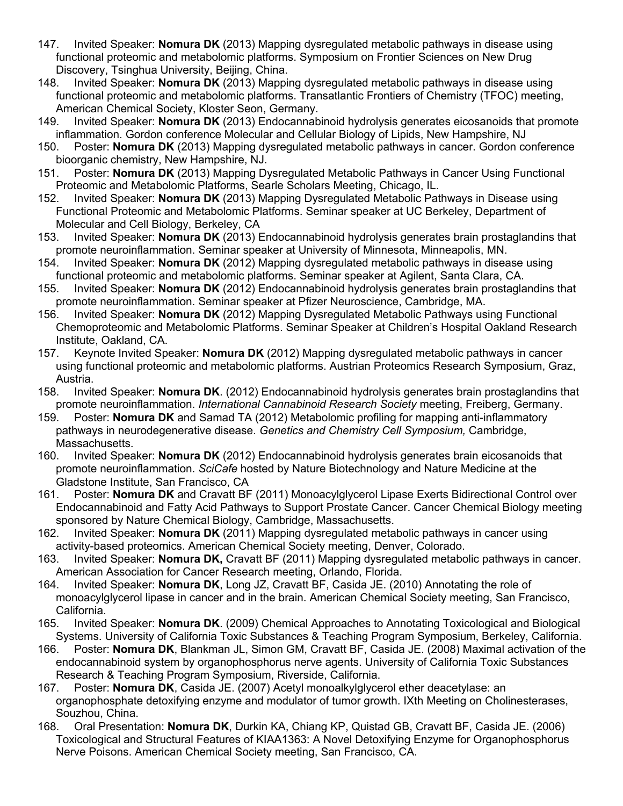- 147. Invited Speaker: **Nomura DK** (2013) Mapping dysregulated metabolic pathways in disease using functional proteomic and metabolomic platforms. Symposium on Frontier Sciences on New Drug Discovery, Tsinghua University, Beijing, China.
- 148. Invited Speaker: **Nomura DK** (2013) Mapping dysregulated metabolic pathways in disease using functional proteomic and metabolomic platforms. Transatlantic Frontiers of Chemistry (TFOC) meeting, American Chemical Society, Kloster Seon, Germany.
- 149. Invited Speaker: **Nomura DK** (2013) Endocannabinoid hydrolysis generates eicosanoids that promote inflammation. Gordon conference Molecular and Cellular Biology of Lipids, New Hampshire, NJ
- 150. Poster: **Nomura DK** (2013) Mapping dysregulated metabolic pathways in cancer. Gordon conference bioorganic chemistry, New Hampshire, NJ.
- 151. Poster: **Nomura DK** (2013) Mapping Dysregulated Metabolic Pathways in Cancer Using Functional Proteomic and Metabolomic Platforms, Searle Scholars Meeting, Chicago, IL.
- 152. Invited Speaker: **Nomura DK** (2013) Mapping Dysregulated Metabolic Pathways in Disease using Functional Proteomic and Metabolomic Platforms. Seminar speaker at UC Berkeley, Department of Molecular and Cell Biology, Berkeley, CA
- 153. Invited Speaker: **Nomura DK** (2013) Endocannabinoid hydrolysis generates brain prostaglandins that promote neuroinflammation. Seminar speaker at University of Minnesota, Minneapolis, MN.
- 154. Invited Speaker: **Nomura DK** (2012) Mapping dysregulated metabolic pathways in disease using functional proteomic and metabolomic platforms. Seminar speaker at Agilent, Santa Clara, CA.
- 155. Invited Speaker: **Nomura DK** (2012) Endocannabinoid hydrolysis generates brain prostaglandins that promote neuroinflammation. Seminar speaker at Pfizer Neuroscience, Cambridge, MA.
- 156. Invited Speaker: **Nomura DK** (2012) Mapping Dysregulated Metabolic Pathways using Functional Chemoproteomic and Metabolomic Platforms. Seminar Speaker at Children's Hospital Oakland Research Institute, Oakland, CA.
- 157. Keynote Invited Speaker: **Nomura DK** (2012) Mapping dysregulated metabolic pathways in cancer using functional proteomic and metabolomic platforms. Austrian Proteomics Research Symposium, Graz, Austria.
- 158. Invited Speaker: **Nomura DK**. (2012) Endocannabinoid hydrolysis generates brain prostaglandins that promote neuroinflammation. *International Cannabinoid Research Society* meeting, Freiberg, Germany.
- 159. Poster: **Nomura DK** and Samad TA (2012) Metabolomic profiling for mapping anti-inflammatory pathways in neurodegenerative disease. *Genetics and Chemistry Cell Symposium,* Cambridge, Massachusetts.
- 160. Invited Speaker: **Nomura DK** (2012) Endocannabinoid hydrolysis generates brain eicosanoids that promote neuroinflammation. *SciCafe* hosted by Nature Biotechnology and Nature Medicine at the Gladstone Institute, San Francisco, CA
- 161. Poster: **Nomura DK** and Cravatt BF (2011) Monoacylglycerol Lipase Exerts Bidirectional Control over Endocannabinoid and Fatty Acid Pathways to Support Prostate Cancer. Cancer Chemical Biology meeting sponsored by Nature Chemical Biology, Cambridge, Massachusetts.
- 162. Invited Speaker: **Nomura DK** (2011) Mapping dysregulated metabolic pathways in cancer using activity-based proteomics. American Chemical Society meeting, Denver, Colorado.
- 163. Invited Speaker: **Nomura DK,** Cravatt BF (2011) Mapping dysregulated metabolic pathways in cancer. American Association for Cancer Research meeting, Orlando, Florida.
- 164. Invited Speaker: **Nomura DK**, Long JZ, Cravatt BF, Casida JE. (2010) Annotating the role of monoacylglycerol lipase in cancer and in the brain. American Chemical Society meeting, San Francisco, California.
- 165. Invited Speaker: **Nomura DK**. (2009) Chemical Approaches to Annotating Toxicological and Biological Systems. University of California Toxic Substances & Teaching Program Symposium, Berkeley, California.
- 166. Poster: **Nomura DK**, Blankman JL, Simon GM, Cravatt BF, Casida JE. (2008) Maximal activation of the endocannabinoid system by organophosphorus nerve agents. University of California Toxic Substances Research & Teaching Program Symposium, Riverside, California.
- 167. Poster: **Nomura DK**, Casida JE. (2007) Acetyl monoalkylglycerol ether deacetylase: an organophosphate detoxifying enzyme and modulator of tumor growth. IXth Meeting on Cholinesterases, Souzhou, China.
- 168. Oral Presentation: **Nomura DK**, Durkin KA, Chiang KP, Quistad GB, Cravatt BF, Casida JE. (2006) Toxicological and Structural Features of KIAA1363: A Novel Detoxifying Enzyme for Organophosphorus Nerve Poisons. American Chemical Society meeting, San Francisco, CA.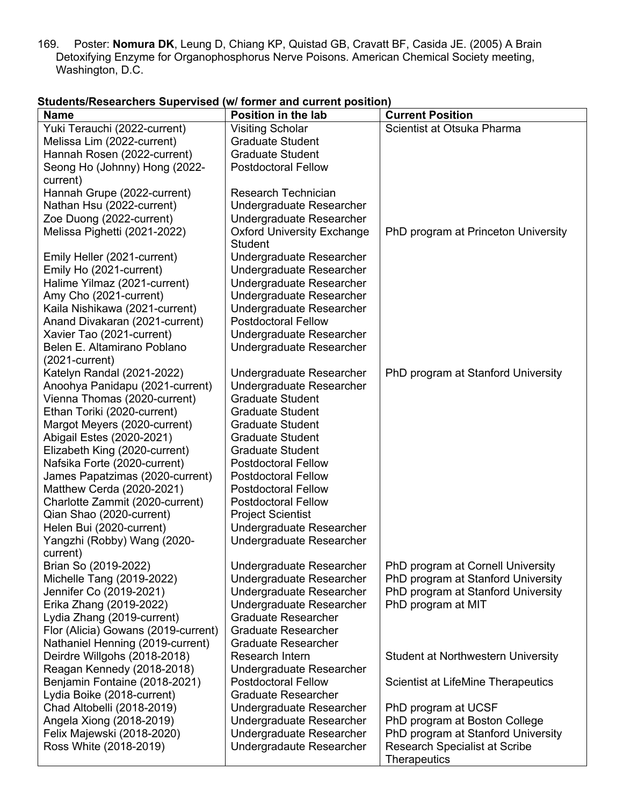169. Poster: **Nomura DK**, Leung D, Chiang KP, Quistad GB, Cravatt BF, Casida JE. (2005) A Brain Detoxifying Enzyme for Organophosphorus Nerve Poisons. American Chemical Society meeting, Washington, D.C.

| <b>Name</b>                         | <b>Position in the lab</b>        | <b>Current Position</b>                   |
|-------------------------------------|-----------------------------------|-------------------------------------------|
| Yuki Terauchi (2022-current)        | <b>Visiting Scholar</b>           | Scientist at Otsuka Pharma                |
| Melissa Lim (2022-current)          | <b>Graduate Student</b>           |                                           |
| Hannah Rosen (2022-current)         | <b>Graduate Student</b>           |                                           |
| Seong Ho (Johnny) Hong (2022-       | <b>Postdoctoral Fellow</b>        |                                           |
| current)                            |                                   |                                           |
| Hannah Grupe (2022-current)         | <b>Research Technician</b>        |                                           |
| Nathan Hsu (2022-current)           | Undergraduate Researcher          |                                           |
| Zoe Duong (2022-current)            | Undergraduate Researcher          |                                           |
| Melissa Pighetti (2021-2022)        | <b>Oxford University Exchange</b> | PhD program at Princeton University       |
|                                     | <b>Student</b>                    |                                           |
| Emily Heller (2021-current)         | Undergraduate Researcher          |                                           |
| Emily Ho (2021-current)             | Undergraduate Researcher          |                                           |
| Halime Yilmaz (2021-current)        | Undergraduate Researcher          |                                           |
| Amy Cho (2021-current)              | Undergraduate Researcher          |                                           |
| Kaila Nishikawa (2021-current)      | Undergraduate Researcher          |                                           |
| Anand Divakaran (2021-current)      | <b>Postdoctoral Fellow</b>        |                                           |
| Xavier Tao (2021-current)           | Undergraduate Researcher          |                                           |
| Belen E. Altamirano Poblano         | Undergraduate Researcher          |                                           |
| $(2021$ -current)                   |                                   |                                           |
| Katelyn Randal (2021-2022)          | Undergraduate Researcher          | PhD program at Stanford University        |
| Anoohya Panidapu (2021-current)     | Undergraduate Researcher          |                                           |
| Vienna Thomas (2020-current)        | <b>Graduate Student</b>           |                                           |
| Ethan Toriki (2020-current)         | <b>Graduate Student</b>           |                                           |
| Margot Meyers (2020-current)        | <b>Graduate Student</b>           |                                           |
| Abigail Estes (2020-2021)           | <b>Graduate Student</b>           |                                           |
| Elizabeth King (2020-current)       | <b>Graduate Student</b>           |                                           |
| Nafsika Forte (2020-current)        | <b>Postdoctoral Fellow</b>        |                                           |
| James Papatzimas (2020-current)     | <b>Postdoctoral Fellow</b>        |                                           |
| Matthew Cerda (2020-2021)           | <b>Postdoctoral Fellow</b>        |                                           |
| Charlotte Zammit (2020-current)     | <b>Postdoctoral Fellow</b>        |                                           |
| Qian Shao (2020-current)            | <b>Project Scientist</b>          |                                           |
| Helen Bui (2020-current)            | Undergraduate Researcher          |                                           |
| Yangzhi (Robby) Wang (2020-         | Undergraduate Researcher          |                                           |
| current)                            |                                   |                                           |
| Brian So (2019-2022)                | Undergraduate Researcher          | PhD program at Cornell University         |
| Michelle Tang (2019-2022)           | Undergraduate Researcher          | PhD program at Stanford University        |
| Jennifer Co (2019-2021)             | Undergraduate Researcher          | PhD program at Stanford University        |
| Erika Zhang (2019-2022)             | Undergraduate Researcher          | PhD program at MIT                        |
| Lydia Zhang (2019-current)          | <b>Graduate Researcher</b>        |                                           |
| Flor (Alicia) Gowans (2019-current) | <b>Graduate Researcher</b>        |                                           |
| Nathaniel Henning (2019-current)    | <b>Graduate Researcher</b>        |                                           |
| Deirdre Willgohs (2018-2018)        | Research Intern                   | <b>Student at Northwestern University</b> |
| Reagan Kennedy (2018-2018)          | Undergraduate Researcher          |                                           |
| Benjamin Fontaine (2018-2021)       | <b>Postdoctoral Fellow</b>        | <b>Scientist at LifeMine Therapeutics</b> |
| Lydia Boike (2018-current)          | <b>Graduate Researcher</b>        |                                           |
| Chad Altobelli (2018-2019)          | Undergraduate Researcher          | PhD program at UCSF                       |
| Angela Xiong (2018-2019)            | Undergraduate Researcher          | PhD program at Boston College             |
| Felix Majewski (2018-2020)          | Undergraduate Researcher          | PhD program at Stanford University        |
| Ross White (2018-2019)              | Undergradaute Researcher          | <b>Research Specialist at Scribe</b>      |
|                                     |                                   | Therapeutics                              |

## **Students/Researchers Supervised (w/ former and current position)**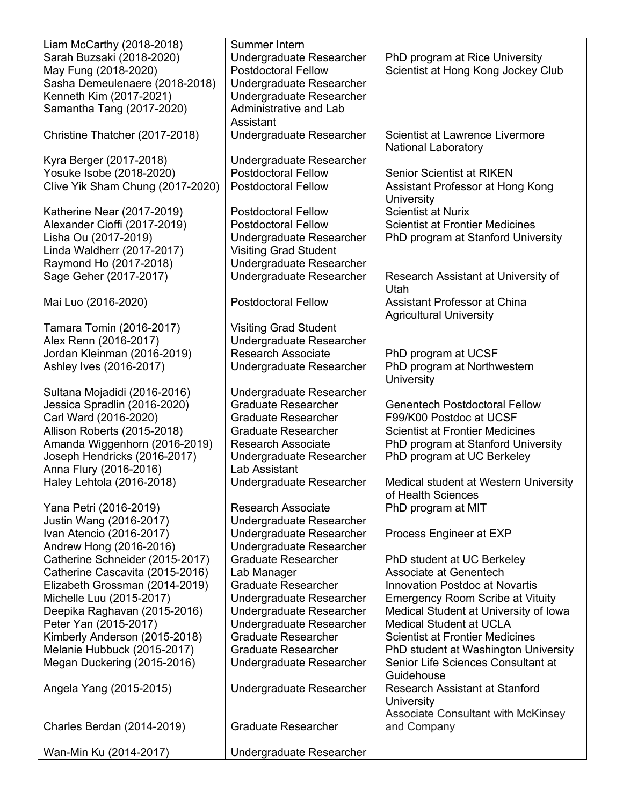| Liam McCarthy (2018-2018)                           | Summer Intern                |                                           |
|-----------------------------------------------------|------------------------------|-------------------------------------------|
| Sarah Buzsaki (2018-2020)                           | Undergraduate Researcher     | PhD program at Rice University            |
| May Fung (2018-2020)                                | <b>Postdoctoral Fellow</b>   | Scientist at Hong Kong Jockey Club        |
| Sasha Demeulenaere (2018-2018)                      | Undergraduate Researcher     |                                           |
| Kenneth Kim (2017-2021)                             | Undergraduate Researcher     |                                           |
| Samantha Tang (2017-2020)                           | Administrative and Lab       |                                           |
|                                                     | Assistant                    |                                           |
| Christine Thatcher (2017-2018)                      | Undergraduate Researcher     | Scientist at Lawrence Livermore           |
|                                                     |                              | <b>National Laboratory</b>                |
| Kyra Berger (2017-2018)                             | Undergraduate Researcher     |                                           |
| Yosuke Isobe (2018-2020)                            | <b>Postdoctoral Fellow</b>   | <b>Senior Scientist at RIKEN</b>          |
| Clive Yik Sham Chung (2017-2020)                    | <b>Postdoctoral Fellow</b>   | Assistant Professor at Hong Kong          |
|                                                     |                              | University                                |
| Katherine Near (2017-2019)                          | <b>Postdoctoral Fellow</b>   | <b>Scientist at Nurix</b>                 |
| Alexander Cioffi (2017-2019)                        | <b>Postdoctoral Fellow</b>   | <b>Scientist at Frontier Medicines</b>    |
| Lisha Ou (2017-2019)                                | Undergraduate Researcher     | PhD program at Stanford University        |
| Linda Waldherr (2017-2017)                          | <b>Visiting Grad Student</b> |                                           |
| Raymond Ho (2017-2018)                              | Undergraduate Researcher     |                                           |
| Sage Geher (2017-2017)                              | Undergraduate Researcher     | Research Assistant at University of       |
|                                                     |                              | Utah                                      |
| Mai Luo (2016-2020)                                 | <b>Postdoctoral Fellow</b>   | Assistant Professor at China              |
|                                                     |                              | <b>Agricultural University</b>            |
| Tamara Tomin (2016-2017)                            | <b>Visiting Grad Student</b> |                                           |
| Alex Renn (2016-2017)                               | Undergraduate Researcher     |                                           |
| Jordan Kleinman (2016-2019)                         | <b>Research Associate</b>    | PhD program at UCSF                       |
| Ashley Ives (2016-2017)                             | Undergraduate Researcher     | PhD program at Northwestern               |
|                                                     |                              | University                                |
| Sultana Mojadidi (2016-2016)                        | Undergraduate Researcher     |                                           |
| Jessica Spradlin (2016-2020)                        | <b>Graduate Researcher</b>   | <b>Genentech Postdoctoral Fellow</b>      |
| Carl Ward (2016-2020)                               | <b>Graduate Researcher</b>   | F99/K00 Postdoc at UCSF                   |
| Allison Roberts (2015-2018)                         | <b>Graduate Researcher</b>   | <b>Scientist at Frontier Medicines</b>    |
| Amanda Wiggenhorn (2016-2019)                       | <b>Research Associate</b>    | PhD program at Stanford University        |
| Joseph Hendricks (2016-2017)                        | Undergraduate Researcher     | PhD program at UC Berkeley                |
| Anna Flury (2016-2016)                              | Lab Assistant                |                                           |
|                                                     |                              | Medical student at Western University     |
| Haley Lehtola (2016-2018)                           | Undergraduate Researcher     | of Health Sciences                        |
| Yana Petri (2016-2019)                              | Research Associate           | PhD program at MIT                        |
|                                                     | Undergraduate Researcher     |                                           |
| Justin Wang (2016-2017)<br>Ivan Atencio (2016-2017) |                              |                                           |
|                                                     | Undergraduate Researcher     | Process Engineer at EXP                   |
| Andrew Hong (2016-2016)                             | Undergraduate Researcher     |                                           |
| Catherine Schneider (2015-2017)                     | <b>Graduate Researcher</b>   | PhD student at UC Berkeley                |
| Catherine Cascavita (2015-2016)                     | Lab Manager                  | Associate at Genentech                    |
| Elizabeth Grossman (2014-2019)                      | <b>Graduate Researcher</b>   | <b>Innovation Postdoc at Novartis</b>     |
| Michelle Luu (2015-2017)                            | Undergraduate Researcher     | <b>Emergency Room Scribe at Vituity</b>   |
| Deepika Raghavan (2015-2016)                        | Undergraduate Researcher     | Medical Student at University of Iowa     |
| Peter Yan (2015-2017)                               | Undergraduate Researcher     | <b>Medical Student at UCLA</b>            |
| Kimberly Anderson (2015-2018)                       | <b>Graduate Researcher</b>   | <b>Scientist at Frontier Medicines</b>    |
| Melanie Hubbuck (2015-2017)                         | <b>Graduate Researcher</b>   | PhD student at Washington University      |
| Megan Duckering (2015-2016)                         | Undergraduate Researcher     | Senior Life Sciences Consultant at        |
|                                                     |                              | Guidehouse                                |
| Angela Yang (2015-2015)                             | Undergraduate Researcher     | Research Assistant at Stanford            |
|                                                     |                              | University                                |
|                                                     |                              | <b>Associate Consultant with McKinsey</b> |
| <b>Charles Berdan (2014-2019)</b>                   | <b>Graduate Researcher</b>   | and Company                               |
| Wan-Min Ku (2014-2017)                              |                              |                                           |
|                                                     | Undergraduate Researcher     |                                           |